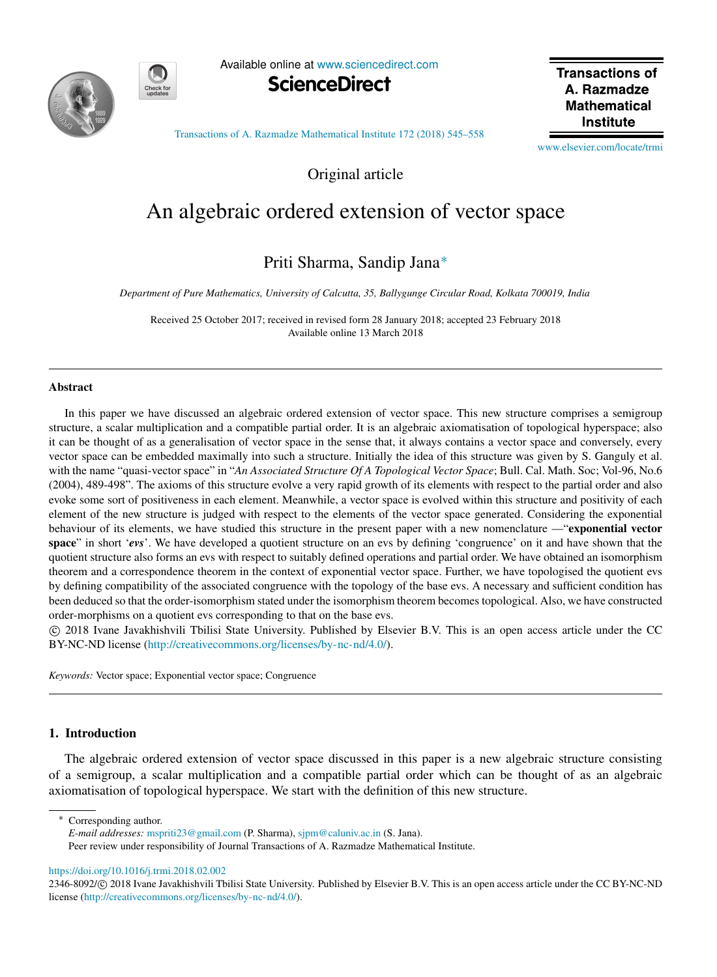



Available online at [www.sciencedirect.com](http://www.elsevier.com/locate/trmi)



**Transactions of** A Razmadze **Mathematical Institute** 

[Transactions of A. Razmadze Mathematical Institute 172 \(2018\) 545–558](https://doi.org/10.1016/j.trmi.2018.02.002)

[www.elsevier.com/locate/trmi](http://www.elsevier.com/locate/trmi)

Original article

# An algebraic ordered extension of vector space

# Priti Sharma, Sandip Jana[∗](#page-0-0)

*Department of Pure Mathematics, University of Calcutta, 35, Ballygunge Circular Road, Kolkata 700019, India*

Received 25 October 2017; received in revised form 28 January 2018; accepted 23 February 2018 Available online 13 March 2018

#### Abstract

In this paper we have discussed an algebraic ordered extension of vector space. This new structure comprises a semigroup structure, a scalar multiplication and a compatible partial order. It is an algebraic axiomatisation of topological hyperspace; also it can be thought of as a generalisation of vector space in the sense that, it always contains a vector space and conversely, every vector space can be embedded maximally into such a structure. Initially the idea of this structure was given by S. Ganguly et al. with the name "quasi-vector space" in "*An Associated Structure Of A Topological Vector Space*; Bull. Cal. Math. Soc; Vol-96, No.6 (2004), 489-498". The axioms of this structure evolve a very rapid growth of its elements with respect to the partial order and also evoke some sort of positiveness in each element. Meanwhile, a vector space is evolved within this structure and positivity of each element of the new structure is judged with respect to the elements of the vector space generated. Considering the exponential behaviour of its elements, we have studied this structure in the present paper with a new nomenclature —"exponential vector space" in short '*evs*'. We have developed a quotient structure on an evs by defining 'congruence' on it and have shown that the quotient structure also forms an evs with respect to suitably defined operations and partial order. We have obtained an isomorphism theorem and a correspondence theorem in the context of exponential vector space. Further, we have topologised the quotient evs by defining compatibility of the associated congruence with the topology of the base evs. A necessary and sufficient condition has been deduced so that the order-isomorphism stated under the isomorphism theorem becomes topological. Also, we have constructed order-morphisms on a quotient evs corresponding to that on the base evs.

⃝c 2018 Ivane Javakhishvili Tbilisi State University. Published by Elsevier B.V. This is an open access article under the CC BY-NC-ND license [\(http://creativecommons.org/licenses/by-nc-nd/4.0/\)](http://creativecommons.org/licenses/by-nc-nd/4.0/).

*Keywords:* Vector space; Exponential vector space; Congruence

# 1. Introduction

The algebraic ordered extension of vector space discussed in this paper is a new algebraic structure consisting of a semigroup, a scalar multiplication and a compatible partial order which can be thought of as an algebraic axiomatisation of topological hyperspace. We start with the definition of this new structure.

<span id="page-0-0"></span>Corresponding author.

*E-mail addresses:* [mspriti23@gmail.com](mailto:mspriti23@gmail.com) (P. Sharma), [sjpm@caluniv.ac.in](mailto:sjpm@caluniv.ac.in) (S. Jana).

Peer review under responsibility of Journal Transactions of A. Razmadze Mathematical Institute.

<https://doi.org/10.1016/j.trmi.2018.02.002>

<sup>2346-8092/© 2018</sup> Ivane Javakhishvili Tbilisi State University. Published by Elsevier B.V. This is an open access article under the CC BY-NC-ND license [\(http://creativecommons.org/licenses/by-nc-nd/4.0/\)](http://creativecommons.org/licenses/by-nc-nd/4.0/).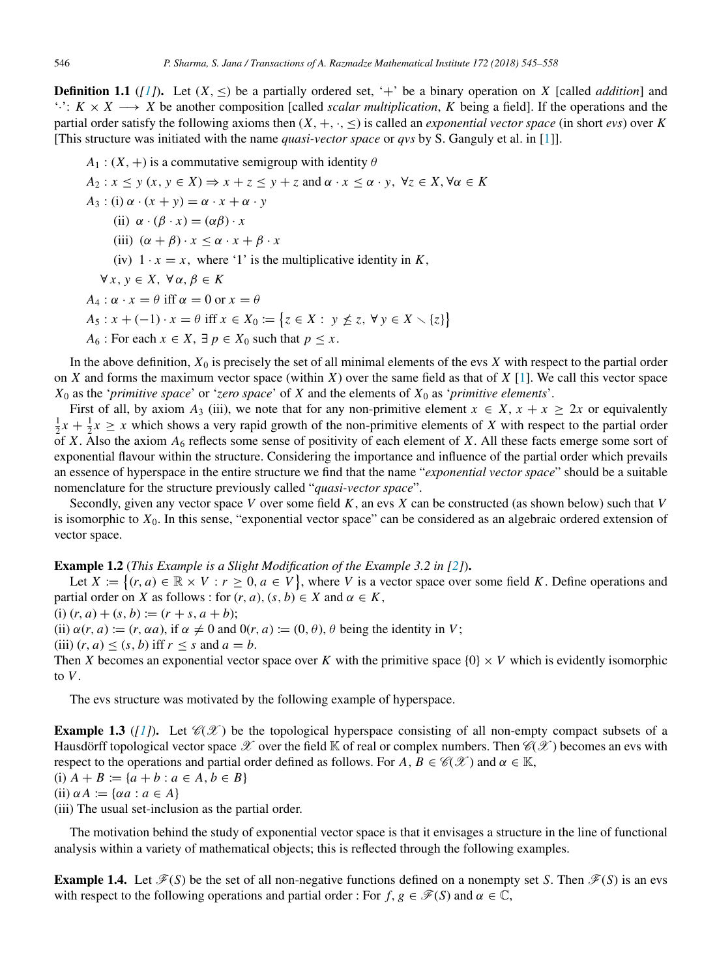<span id="page-1-0"></span>**Definition 1.1** ([\[1\]](#page-13-0)). Let  $(X, \leq)$  be a partially ordered set, '+' be a binary operation on X [called *addition*] and '·': *K* × *X* −→ *X* be another composition [called *scalar multiplication*, *K* being a field]. If the operations and the partial order satisfy the following axioms then  $(X, +, \cdot, \leq)$  is called an *exponential vector space* (in short *evs*) over *K* [This structure was initiated with the name *quasi-vector space* or *qvs* by S. Ganguly et al. in [\[1\]](#page-13-0)].

 $A_1$ :  $(X, +)$  is a commutative semigroup with identity  $\theta$  $A_2: x \leq y$   $(x, y \in X) \Rightarrow x + z \leq y + z$  and  $\alpha \cdot x \leq \alpha \cdot y$ ,  $\forall z \in X, \forall \alpha \in K$  $A_3$  : (i)  $\alpha \cdot (x + y) = \alpha \cdot x + \alpha \cdot y$ (ii)  $\alpha \cdot (\beta \cdot x) = (\alpha \beta) \cdot x$ (iii)  $(\alpha + \beta) \cdot x \leq \alpha \cdot x + \beta \cdot x$ (iv)  $1 \cdot x = x$ , where '1' is the multiplicative identity in *K*,  $\forall x, y \in X, \forall \alpha, \beta \in K$  $A_4$  :  $\alpha \cdot x = \theta$  iff  $\alpha = 0$  or  $x = \theta$ *A*<sub>5</sub> : *x* + (−1) · *x* =  $\theta$  iff *x* ∈ *X*<sub>0</sub> := { $z \in X : y \nleq z$ , ∀  $y \in X \setminus \{z\}$ } *A*<sub>6</sub> : For each  $x \in X$ ,  $\exists p \in X_0$  such that  $p \leq x$ .

In the above definition,  $X_0$  is precisely the set of all minimal elements of the evs  $X$  with respect to the partial order on *X* and forms the maximum vector space (within *X*) over the same field as that of *X* [\[1\]](#page-13-0). We call this vector space *X*<sup>0</sup> as the '*primitive space*' or '*zero space*' of *X* and the elements of *X*<sup>0</sup> as '*primitive elements*'.

First of all, by axiom  $A_3$  (iii), we note that for any non-primitive element  $x \in X$ ,  $x + x \ge 2x$  or equivalently  $\frac{1}{2}x + \frac{1}{2}x \geq x$  which shows a very rapid growth of the non-primitive elements of *X* with respect to the partial order of *X*. Also the axiom  $A_6$  reflects some sense of positivity of each element of *X*. All these facts emerge some sort of exponential flavour within the structure. Considering the importance and influence of the partial order which prevails an essence of hyperspace in the entire structure we find that the name "*exponential vector space*" should be a suitable nomenclature for the structure previously called "*quasi-vector space*".

Secondly, given any vector space *V* over some field *K*, an evs *X* can be constructed (as shown below) such that *V* is isomorphic to *X*0. In this sense, "exponential vector space" can be considered as an algebraic ordered extension of vector space.

Example 1.2 (*This Example is a Slight Modification of the Example 3.2 in [\[2\]](#page-13-1)*).

Let  $X := \{(r, a) \in \mathbb{R} \times V : r \geq 0, a \in V\}$ , where *V* is a vector space over some field *K*. Define operations and partial order on *X* as follows : for  $(r, a)$ ,  $(s, b) \in X$  and  $\alpha \in K$ ,

(i)  $(r, a) + (s, b) := (r + s, a + b);$ 

(ii)  $\alpha(r, a) := (r, \alpha a)$ , if  $\alpha \neq 0$  and  $0(r, a) := (0, \theta)$ ,  $\theta$  being the identity in *V*;

(iii)  $(r, a) \le (s, b)$  iff  $r \le s$  and  $a = b$ .

Then *X* becomes an exponential vector space over *K* with the primitive space  $\{0\} \times V$  which is evidently isomorphic to *V*.

The evs structure was motivated by the following example of hyperspace.

**Example 1.3** ([\[1\]](#page-13-0)). Let  $\mathscr{C}(\mathscr{X})$  be the topological hyperspace consisting of all non-empty compact subsets of a Hausdorff topological vector space  $\mathscr X$  over the field K of real or complex numbers. Then  $\mathscr C(\mathscr X)$  becomes an evs with respect to the operations and partial order defined as follows. For  $A, B \in \mathcal{C}(\mathcal{X})$  and  $\alpha \in \mathbb{K}$ , (i)  $A + B := \{a + b : a \in A, b \in B\}$ 

(ii)  $\alpha A := \{ \alpha a : a \in A \}$ 

(iii) The usual set-inclusion as the partial order.

The motivation behind the study of exponential vector space is that it envisages a structure in the line of functional analysis within a variety of mathematical objects; this is reflected through the following examples.

**Example 1.4.** Let  $\mathcal{F}(S)$  be the set of all non-negative functions defined on a nonempty set *S*. Then  $\mathcal{F}(S)$  is an evs with respect to the following operations and partial order : For  $f, g \in \mathcal{F}(S)$  and  $\alpha \in \mathbb{C}$ ,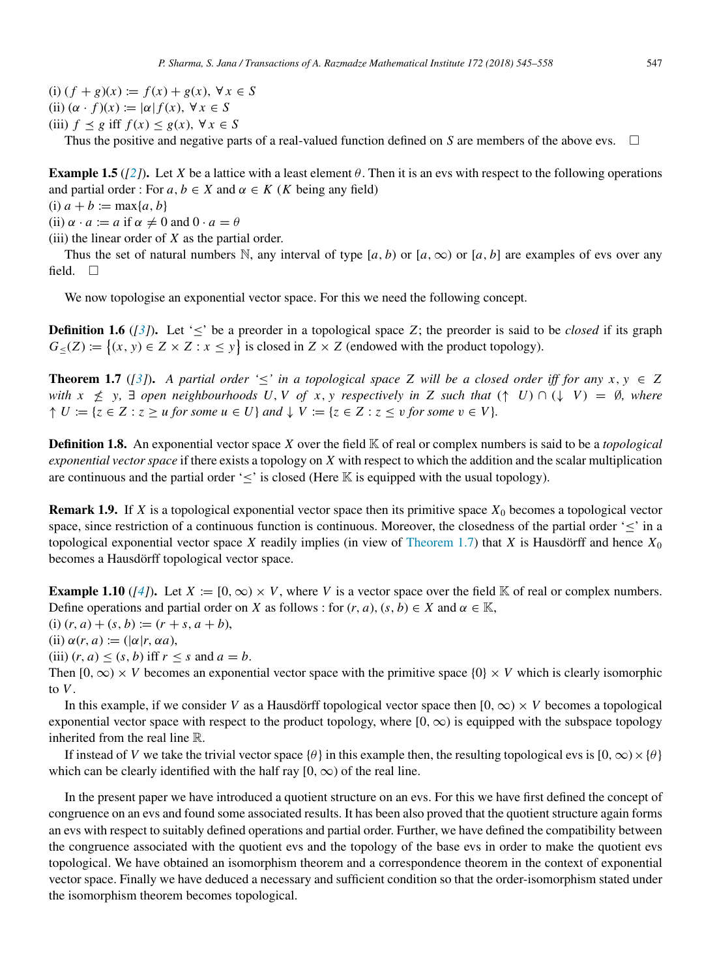(i)  $(f + g)(x) := f(x) + g(x), \forall x \in S$ (ii)  $(\alpha \cdot f)(x) := |\alpha| f(x), \forall x \in S$ (iii)  $f \leq g$  iff  $f(x) \leq g(x)$ ,  $\forall x \in S$ 

Thus the positive and negative parts of a real-valued function defined on *S* are members of the above evs.  $\Box$ 

**Example 1.5** ( $[2]$ ). Let *X* be a lattice with a least element  $\theta$ . Then it is an evs with respect to the following operations and partial order : For  $a, b \in X$  and  $\alpha \in K$  (*K* being any field)

(i)  $a + b := \max\{a, b\}$ 

(ii)  $\alpha \cdot a := a$  if  $\alpha \neq 0$  and  $0 \cdot a = \theta$ 

(iii) the linear order of *X* as the partial order.

Thus the set of natural numbers N, any interval of type  $[a, b)$  or  $[a, \infty)$  or  $[a, b]$  are examples of evs over any field.  $\square$ 

We now topologise an exponential vector space. For this we need the following concept.

**Definition 1.6** ( $\binom{3}{}$ ). Let ' $\leq$ ' be a preorder in a topological space *Z*; the preorder is said to be *closed* if its graph  $G_{\leq}(Z) := \{(x, y) \in Z \times Z : x \leq y\}$  is closed in  $Z \times Z$  (endowed with the product topology).

<span id="page-2-0"></span>**Theorem 1.7** ([\[3\]](#page-13-2)). A partial order ' $\leq$ ' in a topological space Z will be a closed order iff for any  $x, y \in Z$ *with*  $x \neq y$ ,  $\exists$  *open neighbourhoods* U, V of x, *y* respectively in Z such that  $( \uparrow U) \cap (\downarrow V) = \emptyset$ , where  $\uparrow U := \{z \in Z : z \geq u \text{ for some } u \in U\}$  and  $\downarrow V := \{z \in Z : z \leq v \text{ for some } v \in V\}.$ 

Definition 1.8. An exponential vector space *X* over the field K of real or complex numbers is said to be a *topological exponential vector space* if there exists a topology on *X* with respect to which the addition and the scalar multiplication are continuous and the partial order ' $\leq$ ' is closed (Here K is equipped with the usual topology).

**Remark 1.9.** If *X* is a topological exponential vector space then its primitive space  $X_0$  becomes a topological vector space, since restriction of a continuous function is continuous. Moreover, the closedness of the partial order ' $\leq$ ' in a topological exponential vector space *X* readily implies (in view of [Theorem 1.7\)](#page-2-0) that *X* is Hausdörff and hence  $X_0$ becomes a Hausdörff topological vector space.

**Example 1.10** ( $\lceil 4 \rceil$ ). Let  $X := [0, \infty) \times V$ , where V is a vector space over the field K of real or complex numbers. Define operations and partial order on *X* as follows : for  $(r, a)$ ,  $(s, b) \in X$  and  $\alpha \in \mathbb{K}$ ,

 $(i)$   $(r, a) + (s, b) := (r + s, a + b),$ 

 $(ii) \alpha(r, a) := (|\alpha|r, \alpha a),$ 

(iii)  $(r, a) \le (s, b)$  iff  $r \le s$  and  $a = b$ .

Then  $[0, \infty) \times V$  becomes an exponential vector space with the primitive space  $\{0\} \times V$  which is clearly isomorphic to *V*.

In this example, if we consider *V* as a Hausdörff topological vector space then  $[0, \infty) \times V$  becomes a topological exponential vector space with respect to the product topology, where  $[0, \infty)$  is equipped with the subspace topology inherited from the real line R.

If instead of *V* we take the trivial vector space { $\theta$ } in this example then, the resulting topological evs is  $[0, \infty) \times {\theta}$ } which can be clearly identified with the half ray  $[0, \infty)$  of the real line.

In the present paper we have introduced a quotient structure on an evs. For this we have first defined the concept of congruence on an evs and found some associated results. It has been also proved that the quotient structure again forms an evs with respect to suitably defined operations and partial order. Further, we have defined the compatibility between the congruence associated with the quotient evs and the topology of the base evs in order to make the quotient evs topological. We have obtained an isomorphism theorem and a correspondence theorem in the context of exponential vector space. Finally we have deduced a necessary and sufficient condition so that the order-isomorphism stated under the isomorphism theorem becomes topological.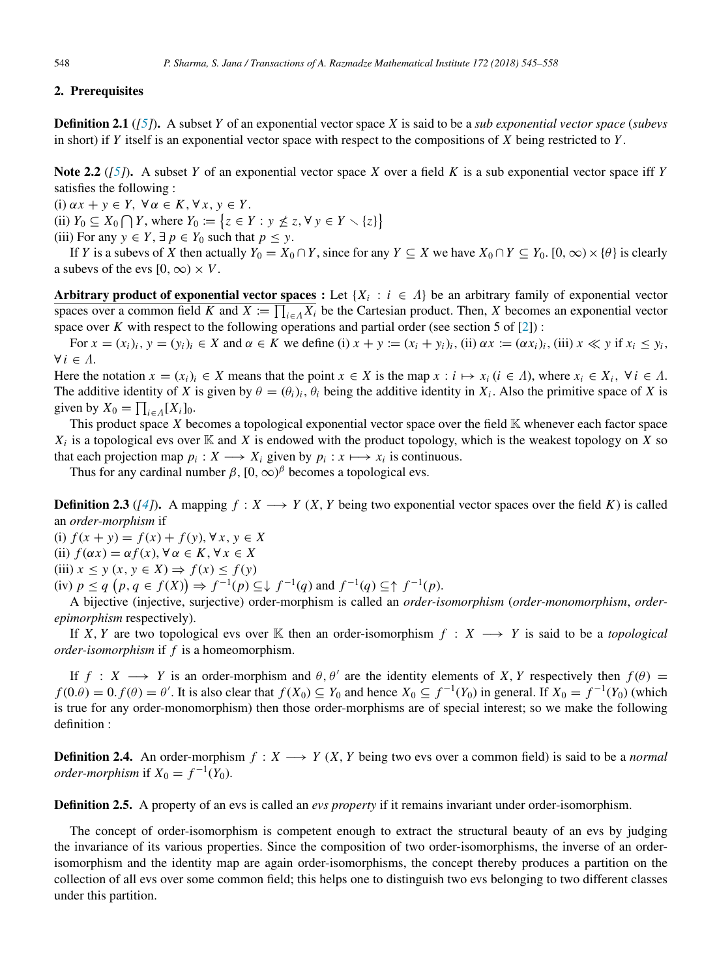# 2. Prerequisites

Definition 2.1 (*[\[5\]](#page-13-4)*). A subset *Y* of an exponential vector space *X* is said to be a *sub exponential vector space* (*subevs* in short) if *Y* itself is an exponential vector space with respect to the compositions of *X* being restricted to *Y* .

<span id="page-3-0"></span>Note 2.2 (*[\[5\]](#page-13-4)*). A subset *Y* of an exponential vector space *X* over a field *K* is a sub exponential vector space iff *Y* satisfies the following :

(i)  $\alpha x + y \in Y$ ,  $\forall \alpha \in K$ ,  $\forall x, y \in Y$ .

(ii)  $Y_0 \subseteq X_0 \cap Y$ , where  $Y_0 := \{ z \in Y : y \nleq z, \forall y \in Y \setminus \{z\} \}$ 

(iii) For any  $y \in Y$ ,  $\exists p \in Y_0$  such that  $p \leq y$ .

If *Y* is a subevs of *X* then actually  $Y_0 = X_0 \cap Y$ , since for any  $Y \subseteq X$  we have  $X_0 \cap Y \subseteq Y_0$ . [0, ∞) × { $\theta$ } is clearly a subevs of the evs  $[0, \infty) \times V$ .

Arbitrary product of exponential vector spaces : Let  $\{X_i : i \in \Lambda\}$  be an arbitrary family of exponential vector spaces over a common field *K* and  $X := \prod_{i \in A} X_i$  be the Cartesian product. Then, *X* becomes an exponential vector space over *K* with respect to the following operations and partial order (see section 5 of  $[2]$ ):

For  $x = (x_i)_i$ ,  $y = (y_i)_i \in X$  and  $\alpha \in K$  we define (i)  $x + y := (x_i + y_i)_i$ , (ii)  $\alpha x := (\alpha x_i)_i$ , (iii)  $x \ll y$  if  $x_i \leq y_i$ ,  $\forall i \in \Lambda$ .

Here the notation  $x = (x_i)_i \in X$  means that the point  $x \in X$  is the map  $x : i \mapsto x_i$   $(i \in \Lambda)$ , where  $x_i \in X_i$ ,  $\forall i \in \Lambda$ . The additive identity of *X* is given by  $\theta = (\theta_i)_i$ ,  $\theta_i$  being the additive identity in  $X_i$ . Also the primitive space of *X* is given by  $X_0 = \prod_{i \in \Lambda} [X_i]_0$ .

This product space *X* becomes a topological exponential vector space over the field K whenever each factor space  $X_i$  is a topological evs over  $K$  and  $X$  is endowed with the product topology, which is the weakest topology on  $X$  so that each projection map  $p_i: X \longrightarrow X_i$  given by  $p_i: x \longmapsto x_i$  is continuous.

Thus for any cardinal number  $\beta$ ,  $[0, \infty)^\beta$  becomes a topological evs.

<span id="page-3-2"></span>**Definition 2.3** ( $[4]$ ). A mapping  $f : X \longrightarrow Y$  (*X, Y* being two exponential vector spaces over the field *K*) is called an *order-morphism* if

(i) *f* (*x* + *y*) = *f* (*x*) + *f* (*y*), ∀ *x*, *y* ∈ *X*

(ii) 
$$
f(\alpha x) = \alpha f(x), \forall \alpha \in K, \forall x \in X
$$

 $(iii)$   $x \leq y$   $(x, y \in X) \Rightarrow f(x) \leq f(y)$ 

(iv)  $p \le q$   $(p, q \in f(X)) \Rightarrow f^{-1}(p) \subseteq \downarrow f^{-1}(q)$  and  $f^{-1}(q) \subseteq \uparrow f^{-1}(p)$ .

A bijective (injective, surjective) order-morphism is called an *order-isomorphism* (*order-monomorphism*, *orderepimorphism* respectively).

If *X*, *Y* are two topological evs over K then an order-isomorphism  $f : X \longrightarrow Y$  is said to be a *topological order-isomorphism* if *f* is a homeomorphism.

If  $f : X \longrightarrow Y$  is an order-morphism and  $\theta$ ,  $\theta'$  are the identity elements of *X*, *Y* respectively then  $f(\theta)$  = *f* (0. $\theta$ ) = 0.*f*( $\theta$ ) =  $\theta'$ . It is also clear that *f*(*X*<sub>0</sub>) ⊆ *Y*<sub>0</sub> and hence *X*<sub>0</sub> ⊆ *f*<sup>-1</sup>(*Y*<sub>0</sub>) in general. If *X*<sub>0</sub> = *f*<sup>-1</sup>(*Y*<sub>0</sub>) (which is true for any order-monomorphism) then those order-morphisms are of special interest; so we make the following definition :

<span id="page-3-1"></span>**Definition 2.4.** An order-morphism  $f: X \longrightarrow Y$  (*X*, *Y* being two evs over a common field) is said to be a *normal order-morphism* if  $X_0 = f^{-1}(Y_0)$ .

Definition 2.5. A property of an evs is called an *evs property* if it remains invariant under order-isomorphism.

The concept of order-isomorphism is competent enough to extract the structural beauty of an evs by judging the invariance of its various properties. Since the composition of two order-isomorphisms, the inverse of an orderisomorphism and the identity map are again order-isomorphisms, the concept thereby produces a partition on the collection of all evs over some common field; this helps one to distinguish two evs belonging to two different classes under this partition.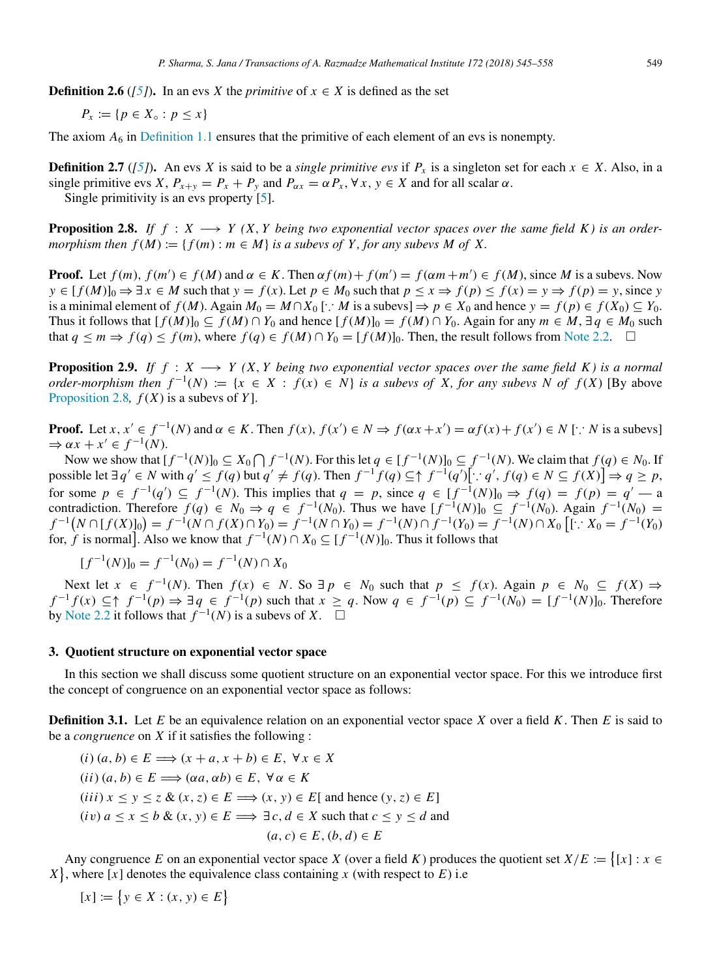**Definition 2.6** ( $[5]$ ). In an evs *X* the *primitive* of  $x \in X$  is defined as the set

$$
P_x := \{ p \in X_\circ : p \le x \}
$$

The axiom  $A_6$  in [Definition 1.1](#page-1-0) ensures that the primitive of each element of an evs is nonempty.

**Definition 2.7** (*[\[5\]](#page-13-4)*). An evs *X* is said to be a *single primitive evs* if  $P_x$  is a singleton set for each  $x \in X$ . Also, in a single primitive evs *X*,  $P_{x+y} = P_x + P_y$  and  $P_{\alpha x} = \alpha P_x$ ,  $\forall x, y \in X$  and for all scalar  $\alpha$ . Single primitivity is an evs property [\[5\]](#page-13-4).

<span id="page-4-0"></span>**Proposition 2.8.** If  $f : X \longrightarrow Y$  (X, *Y* being two exponential vector spaces over the same field K) is an order*morphism then*  $f(M) := \{ f(m) : m \in M \}$  *is a subevs of Y, for any subevs M of X.* 

**Proof.** Let  $f(m)$ ,  $f(m') \in f(M)$  and  $\alpha \in K$ . Then  $\alpha f(m) + f(m') = f(\alpha m + m') \in f(M)$ , since M is a subevs. Now  $y \in [f(M)]_0 \Rightarrow \exists x \in M$  such that  $y = f(x)$ . Let  $p \in M_0$  such that  $p \le x \Rightarrow f(p) \le f(x) = y \Rightarrow f(p) = y$ , since y is a minimal element of *f* (*M*). Again  $M_0 = M ∩ X_0$  [∴ *M* is a subevs]  $\Rightarrow p \in X_0$  and hence  $y = f(p) \in f(X_0) \subseteq Y_0$ . Thus it follows that  $[f(M)]_0 \subseteq f(M) \cap Y_0$  and hence  $[f(M)]_0 = f(M) \cap Y_0$ . Again for any  $m \in M$ ,  $\exists q \in M_0$  such that  $q \leq m \Rightarrow f(q) \leq f(m)$ , where  $f(q) \in f(M) \cap Y_0 = [f(M)]_0$ . Then, the result follows from [Note 2.2.](#page-3-0) □

**Proposition 2.9.** *If f* :  $X \rightarrow Y(X, Y)$  *Deing two exponential vector spaces over the same field K) is a normal order-morphism then*  $f^{-1}(N) := \{x \in X : f(x) \in N\}$  *is a subevs of X, for any subevs N of f* (*X*) [By above [Proposition 2.8](#page-4-0)*,*  $f(X)$  is a subevs of  $Y$ ].

**Proof.** Let  $x, x' \in f^{-1}(N)$  and  $\alpha \in K$ . Then  $f(x), f(x') \in N \Rightarrow f(\alpha x + x') = \alpha f(x) + f(x') \in N$  [: N is a subevs]  $\Rightarrow \alpha x + x' \in f^{-1}(N)$ .

Now we show that  $[f^{-1}(N)]_0 \subseteq X_0 \cap f^{-1}(N)$ . For this let  $q \in [f^{-1}(N)]_0 \subseteq f^{-1}(N)$ . We claim that  $f(q) \in N_0$ . If possible let  $\exists q' \in N$  with  $q' \le f(q)$  but  $q' \ne f(q)$ . Then  $f^{-1}f(q) \subseteq \uparrow f^{-1}(q')[\cdot, q', f(q) \in N \subseteq f(X)] \Rightarrow q \ge p$ , for some  $p \in f^{-1}(q') \subseteq f^{-1}(N)$ . This implies that  $q = p$ , since  $q \in [f^{-1}(N)]_0 \Rightarrow f(q) = f(p) = q' - a$ contradiction. Therefore  $f(q) \in N_0 \Rightarrow q \in f^{-1}(N_0)$ . Thus we have  $[f^{-1}(N)]_0 \subseteq f^{-1}(N_0)$ . Again  $f^{-1}(N_0) =$  $f^{-1}(N \cap [f(X)]_0) = f^{-1}(N \cap f(X) \cap Y_0) = f^{-1}(N \cap Y_0) = f^{-1}(N) \cap f^{-1}(Y_0) = f^{-1}(N) \cap X_0$   $[\cdot : X_0 = f^{-1}(Y_0)]$ for, *f* is normal]. Also we know that  $f^{-1}(N) \cap X_0 \subseteq [f^{-1}(N)]_0$ . Thus it follows that

$$
[f^{-1}(N)]_0 = f^{-1}(N_0) = f^{-1}(N) \cap X_0
$$

Next let  $x \in f^{-1}(N)$ . Then  $f(x) \in N$ . So  $\exists p \in N_0$  such that  $p \le f(x)$ . Again  $p \in N_0 \subseteq f(X) \Rightarrow$  $f^{-1}f(x) \subseteq \uparrow f^{-1}(p) \Rightarrow \exists q \in f^{-1}(p)$  such that  $x \geq q$ . Now  $q \in f^{-1}(p) \subseteq f^{-1}(N_0) = [f^{-1}(N)]_0$ . Therefore by [Note 2.2](#page-3-0) it follows that  $f^{-1}(N)$  is a subevs of *X*.  $\square$ 

## 3. Quotient structure on exponential vector space

In this section we shall discuss some quotient structure on an exponential vector space. For this we introduce first the concept of congruence on an exponential vector space as follows:

<span id="page-4-1"></span>Definition 3.1. Let *E* be an equivalence relation on an exponential vector space *X* over a field *K*. Then *E* is said to be a *congruence* on *X* if it satisfies the following :

$$
(i) (a, b) \in E \implies (x + a, x + b) \in E, \forall x \in X
$$
  
\n
$$
(ii) (a, b) \in E \implies (\alpha a, \alpha b) \in E, \forall \alpha \in K
$$
  
\n
$$
(iii) x \le y \le z \& (x, z) \in E \implies (x, y) \in E[ \text{ and hence } (y, z) \in E]
$$
  
\n
$$
(iv) a \le x \le b \& (x, y) \in E \implies \exists c, d \in X \text{ such that } c \le y \le d \text{ and}
$$
  
\n
$$
(a, c) \in E, (b, d) \in E
$$

Any congruence *E* on an exponential vector space *X* (over a field *K*) produces the quotient set  $X/E := \{ [x] : x \in$  $X$ , where [*x*] denotes the equivalence class containing *x* (with respect to *E*) i.e

 $[x] := \{ y \in X : (x, y) \in E \}$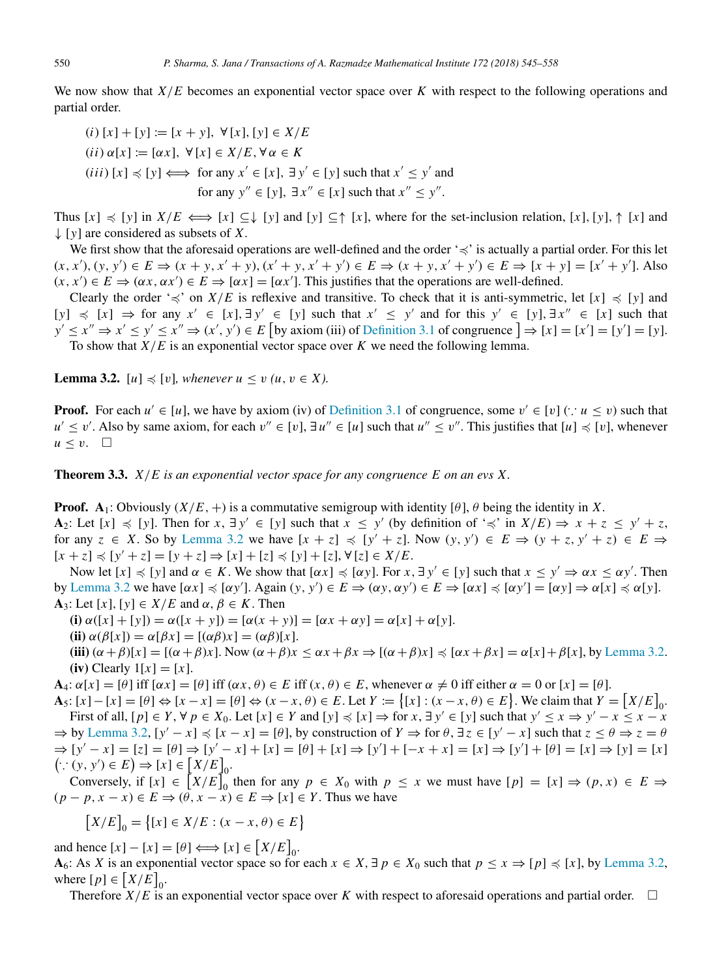We now show that  $X/E$  becomes an exponential vector space over *K* with respect to the following operations and partial order.

\n- (*i*) 
$$
[x] + [y] := [x + y]
$$
,  $\forall [x], [y] \in X/E$
\n- (*ii*)  $\alpha[x] := [\alpha x]$ ,  $\forall [x] \in X/E$ ,  $\forall \alpha \in K$
\n- (*iii*)  $[x] \leq [y] \iff \text{for any } x' \in [x]$ ,  $\exists y' \in [y]$  such that  $x' \leq y'$  and for any  $y'' \in [y]$ ,  $\exists x'' \in [x]$  such that  $x'' \leq y''$ .
\n

Thus  $[x] \preccurlyeq [y]$  in  $X/E \iff [x] \subseteq \downarrow [y]$  and  $[y] \subseteq \uparrow [x]$ , where for the set-inclusion relation,  $[x], [y], \uparrow [x]$  and ↓ [*y*] are considered as subsets of *X*.

We first show that the aforesaid operations are well-defined and the order '≼' is actually a partial order. For this let  $(x, x'), (y, y') \in E \Rightarrow (x + y, x' + y), (x' + y, x' + y') \in E \Rightarrow (x + y, x' + y') \in E \Rightarrow [x + y] = [x' + y']$ . Also  $(x, x') \in E \Rightarrow (\alpha x, \alpha x') \in E \Rightarrow [\alpha x] = [\alpha x']$ . This justifies that the operations are well-defined.

Clearly the order ' $\preccurlyeq$ ' on *X*/*E* is reflexive and transitive. To check that it is anti-symmetric, let [*x*]  $\preccurlyeq$  [*y*] and  $[y]$   $\preccurlyeq$   $[x]$   $\Rightarrow$  for any  $x' \in [x], \exists y' \in [y]$  such that  $x' \leq y'$  and for this  $y' \in [y], \exists x'' \in [x]$  such that  $y' \leq x'' \Rightarrow x' \leq y' \leq x'' \Rightarrow (x', y') \in E$  [by axiom (iii) of [Definition 3.1](#page-4-1) of congruence  $] \Rightarrow [x] = [x'] = [y'] = [y]$ . To show that *X*/*E* is an exponential vector space over *K* we need the following lemma.

<span id="page-5-0"></span>**Lemma 3.2.**  $[u] \preccurlyeq [v]$ *, whenever*  $u \leq v$   $(u, v \in X)$ *.* 

**Proof.** For each  $u' \in [u]$ , we have by axiom (iv) of [Definition 3.1](#page-4-1) of congruence, some  $v' \in [v]$  ( $\because u \le v$ ) such that *u*<sup> $′$ </sup> ≤ *v*<sup> $′$ </sup>. Also by same axiom, for each  $v'' \in [v]$ ,  $\exists u'' \in [u]$  such that  $u'' \le v''$ . This justifies that  $[u] \preccurlyeq [v]$ , whenever  $u \leq v$ .  $\Box$ 

<span id="page-5-1"></span>Theorem 3.3. *X*/*E is an exponential vector space for any congruence E on an evs X.*

**Proof.**  $A_1$ : Obviously  $(X/E, +)$  is a commutative semigroup with identity  $[\theta]$ ,  $\theta$  being the identity in *X*. A<sub>2</sub>: Let  $[x] \preccurlyeq [y]$ . Then for  $x, \exists y' \in [y]$  such that  $x \leq y'$  (by definition of ' $\preccurlyeq$ ' in  $X/E$ )  $\Rightarrow x + z \leq y' + z$ , for any  $z \in X$ . So by [Lemma 3.2](#page-5-0) we have  $[x + z] \preccurlyeq [y' + z]$ . Now  $(y, y') \in E \Rightarrow (y + z, y' + z) \in E \Rightarrow E$  $[x + z]$   $\le$   $[y' + z]$  =  $[y + z]$   $\Rightarrow$   $[x] + [z]$   $\le$   $[y] + [z]$ ,  $\forall$   $[z] \in X/E$ .

Now let  $[x] \preccurlyeq [y]$  and  $\alpha \in K$ . We show that  $[\alpha x] \preccurlyeq [\alpha y]$ . For  $x, \exists y' \in [y]$  such that  $x \leq y' \Rightarrow \alpha x \leq \alpha y'$ . Then by [Lemma 3.2](#page-5-0) we have  $[\alpha x] \preccurlyeq [\alpha y']$ . Again  $(y, y') \in E \Rightarrow (\alpha y, \alpha y') \in E \Rightarrow [\alpha x] \preccurlyeq [\alpha y'] = [\alpha y] \Rightarrow \alpha [x] \preccurlyeq \alpha [y]$ . A<sub>3</sub>: Let  $[x]$ ,  $[y] \in X/E$  and  $\alpha, \beta \in K$ . Then

(i)  $\alpha([x] + [y]) = \alpha([x + y]) = [\alpha(x + y)] = [\alpha x + \alpha y] = \alpha[x] + \alpha[y].$ 

(ii) 
$$
\alpha(\beta[x]) = \alpha[\beta x] = [(\alpha\beta)x] = (\alpha\beta)[x].
$$

(iii)  $(\alpha + \beta)[x] = [(\alpha + \beta)x]$ . Now  $(\alpha + \beta)x \leq \alpha x + \beta x \Rightarrow [(\alpha + \beta)x] \leq [\alpha x + \beta x] = \alpha[x] + \beta[x]$ , by [Lemma 3.2.](#page-5-0) (iv) Clearly  $1[x] = [x]$ .

 $\mathbf{A}_4$ :  $\alpha[x] = [\theta]$  iff  $[\alpha x] = [\theta]$  iff  $(\alpha x, \theta) \in E$  iff  $(x, \theta) \in E$ , whenever  $\alpha \neq 0$  iff either  $\alpha = 0$  or  $[x] = [\theta]$ .

 $\mathbf{A}_5$ :  $[x] - [x] = [\theta] \Leftrightarrow [x - x] = [\theta] \Leftrightarrow (x - x, \theta) \in E$ . Let  $Y := \{ [x] : (x - x, \theta) \in E \}$ . We claim that  $Y = [X/E]_0$ . First of all,  $[p] \in Y$ ,  $\forall p \in X_0$ . Let  $[x] \in Y$  and  $[y] \preccurlyeq [x] \Rightarrow$  for  $x, \exists y' \in [y]$  such that  $y' \leq x \Rightarrow y' - x \leq x - x$ 

 $\Rightarrow$  by [Lemma 3.2,](#page-5-0)  $[y'-x] \preccurlyeq [x-x] = [\theta]$ , by construction of  $Y \Rightarrow$  for  $\theta$ ,  $\exists z \in [y'-x]$  such that  $z \le \theta \Rightarrow z = \theta$  $\Rightarrow$   $[y' - x] = [z] = [\theta] \Rightarrow [y' - x] + [x] = [\theta] + [x] \Rightarrow [y'] + [-x + x] = [x] \Rightarrow [y'] + [\theta] = [x] \Rightarrow [y] = [x]$  $(\because (y, y') \in E) \Rightarrow [x] \in [X/E]_0.$ 

Conversely, if  $[x] \in [X/E]_0^0$  then for any  $p \in X_0$  with  $p \le x$  we must have  $[p] = [x] \Rightarrow (p, x) \in E \Rightarrow$  $(p - p, x - x) \in E \Rightarrow (\theta, x - x) \in E \Rightarrow [x] \in Y$ . Thus we have

$$
[X/E]_0 = \{ [x] \in X/E : (x - x, \theta) \in E \}
$$

and hence  $[x] - [x] = [\theta] \Longleftrightarrow [x] \in [X/E]_0$ . A<sub>6</sub>: As *X* is an exponential vector space so for each  $x \in X$ ,  $\exists p \in X_0$  such that  $p \le x \Rightarrow [p] \preccurlyeq [x]$ , by [Lemma 3.2,](#page-5-0) where  $[p] \in [X/E]_0$ .

Therefore  $X/E$  is an exponential vector space over *K* with respect to aforesaid operations and partial order.  $\square$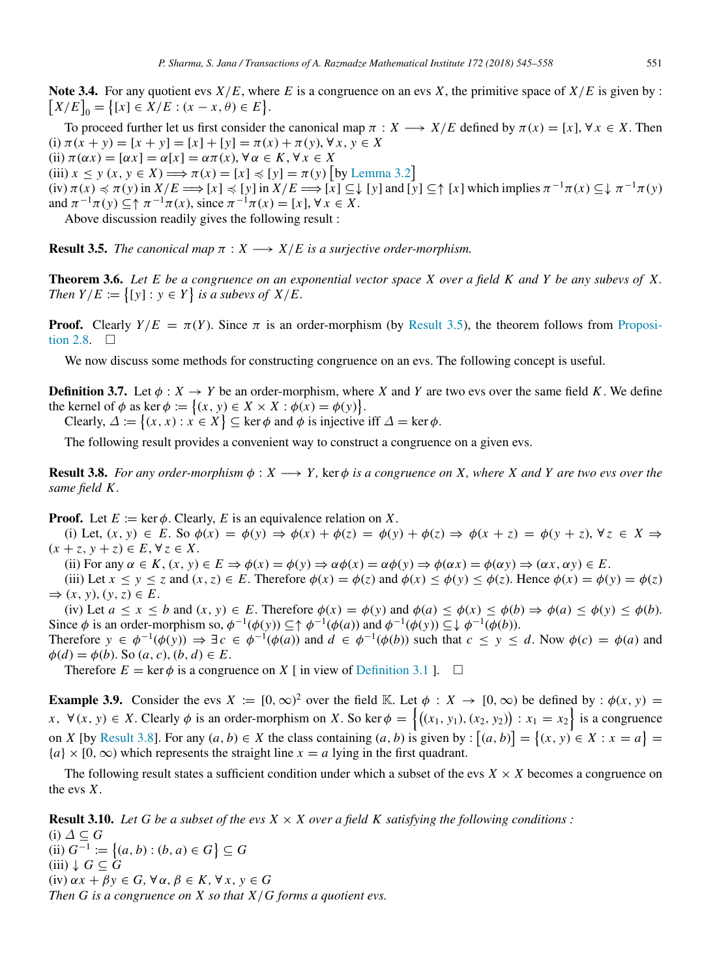<span id="page-6-3"></span>Note 3.4. For any quotient evs  $X/E$ , where *E* is a congruence on an evs *X*, the primitive space of  $X/E$  is given by :  $[X/E]_0 = \{ [x] \in X/E : (x - x, \theta) \in E \}.$ 

To proceed further let us first consider the canonical map  $\pi : X \longrightarrow X/E$  defined by  $\pi(x) = [x]$ ,  $\forall x \in X$ . Then (i)  $\pi(x + y) = [x + y] = [x] + [y] = \pi(x) + \pi(y), \forall x, y \in X$ (ii)  $\pi(\alpha x) = [\alpha x] = \alpha[x] = \alpha \pi(x), \forall \alpha \in K, \forall x \in X$ (iii)  $x \le y$   $(x, y \in X) \Longrightarrow \pi(x) = [x] \preccurlyeq [y] = \pi(y)$  [by [Lemma 3.2](#page-5-0)]  $f(x) \leq \pi(y)$  in  $X/E \implies [x] \leq [y]$  in  $X/E \implies [x] \subseteq \downarrow [y]$  and  $[y] \subseteq \uparrow [x]$  which implies  $\pi^{-1}\pi(x) \subseteq \downarrow \pi^{-1}\pi(y)$ and  $\pi^{-1}\pi(y) \subseteq \uparrow \pi^{-1}\pi(x)$ , since  $\pi^{-1}\pi(x) = [x], \forall x \in X$ .

Above discussion readily gives the following result :

<span id="page-6-0"></span>**Result 3.5.** *The canonical map*  $\pi$  :  $X \rightarrow X/E$  *is a surjective order-morphism.* 

<span id="page-6-2"></span>Theorem 3.6. *Let E be a congruence on an exponential vector space X over a field K and Y be any subevs of X. Then*  $Y/E := \{ [y] : y \in Y \}$  *is a subevs of*  $X/E$ *.* 

**[P](#page-4-0)roof.** Clearly  $Y/E = \pi(Y)$ . Since  $\pi$  is an order-morphism (by [Result 3.5\)](#page-6-0), the theorem follows from [Proposi](#page-4-0)[tion 2.8.](#page-4-0)  $\Box$ 

We now discuss some methods for constructing congruence on an evs. The following concept is useful.

**Definition 3.7.** Let  $\phi: X \to Y$  be an order-morphism, where *X* and *Y* are two evs over the same field *K*. We define the kernel of  $\phi$  as ker  $\phi := \{(x, y) \in X \times X : \phi(x) = \phi(y)\}.$ 

Clearly,  $\Delta := \{(x, x) : x \in X\} \subseteq \text{ker } \phi \text{ and } \phi \text{ is injective iff } \Delta = \text{ker } \phi.$ 

The following result provides a convenient way to construct a congruence on a given evs.

<span id="page-6-1"></span>**Result 3.8.** *For any order-morphism*  $\phi: X \longrightarrow Y$ , ker  $\phi$  *is a congruence on X, where X and Y are two evs over the same field K .*

**Proof.** Let  $E := \text{ker } \phi$ . Clearly, E is an equivalence relation on X.

(i) Let,  $(x, y) \in E$ . So  $\phi(x) = \phi(y) \Rightarrow \phi(x) + \phi(z) = \phi(y) + \phi(z) \Rightarrow \phi(x + z) = \phi(y + z)$ ,  $\forall z \in X \Rightarrow$  $(x + z, y + z) \in E, \forall z \in X.$ 

(ii) For any  $\alpha \in K$ ,  $(x, y) \in E \Rightarrow \phi(x) = \phi(y) \Rightarrow \alpha \phi(x) = \alpha \phi(y) \Rightarrow \phi(\alpha x) = \phi(\alpha y) \Rightarrow (\alpha x, \alpha y) \in E$ .

(iii) Let  $x \le y \le z$  and  $(x, z) \in E$ . Therefore  $\phi(x) = \phi(z)$  and  $\phi(x) \le \phi(y) \le \phi(z)$ . Hence  $\phi(x) = \phi(y) = \phi(z)$  $\Rightarrow$   $(x, y), (y, z) \in E.$ 

(iv) Let  $a \le x \le b$  and  $(x, y) \in E$ . Therefore  $\phi(x) = \phi(y)$  and  $\phi(a) \le \phi(x) \le \phi(b) \Rightarrow \phi(a) \le \phi(y) \le \phi(b)$ . Since  $\phi$  is an order-morphism so,  $\phi^{-1}(\phi(y)) \subseteq \uparrow \phi^{-1}(\phi(a))$  and  $\phi^{-1}(\phi(y)) \subseteq \downarrow \phi^{-1}(\phi(b))$ . Therefore  $y \in \phi^{-1}(\phi(y)) \Rightarrow \exists c \in \phi^{-1}(\phi(a))$  and  $d \in \phi^{-1}(\phi(b))$  such that  $c \le y \le d$ . Now  $\phi(c) = \phi(a)$  and  $\phi(d) = \phi(b)$ . So  $(a, c), (b, d) \in E$ .

Therefore  $E = \ker \phi$  is a congruence on *X* [ in view of [Definition 3.1](#page-4-1) ].  $\square$ 

**Example 3.9.** Consider the evs  $X := [0, \infty)^2$  over the field K. Let  $\phi : X \to [0, \infty)$  be defined by :  $\phi(x, y) =$  $x, \forall (x, y) \in X$ . Clearly  $\phi$  is an order-morphism on *X*. So ker  $\phi = \{(x_1, y_1), (x_2, y_2) : x_1 = x_2\}$  is a congruence on *X* [by [Result 3.8\]](#page-6-1). For any  $(a, b) \in X$  the class containing  $(a, b)$  is given by :  $[(a, b)] = {(x, y) \in X : x = a}$  ${a} \times [0, \infty)$  which represents the straight line  $x = a$  lying in the first quadrant.

The following result states a sufficient condition under which a subset of the evs  $X \times X$  becomes a congruence on the evs *X*.

**Result 3.10.** Let G be a subset of the evs  $X \times X$  over a field K satisfying the following conditions : (i) ∆ ⊆ *G* (ii)  $G^{-1} := \{(a, b) : (b, a) \in G\} ⊆ G$  $(iii) \downarrow G \subseteq G$ (iv)  $\alpha x + \beta y \in G$ ,  $\forall \alpha, \beta \in K$ ,  $\forall x, y \in G$ *Then G is a congruence on X so that X*/*G forms a quotient evs.*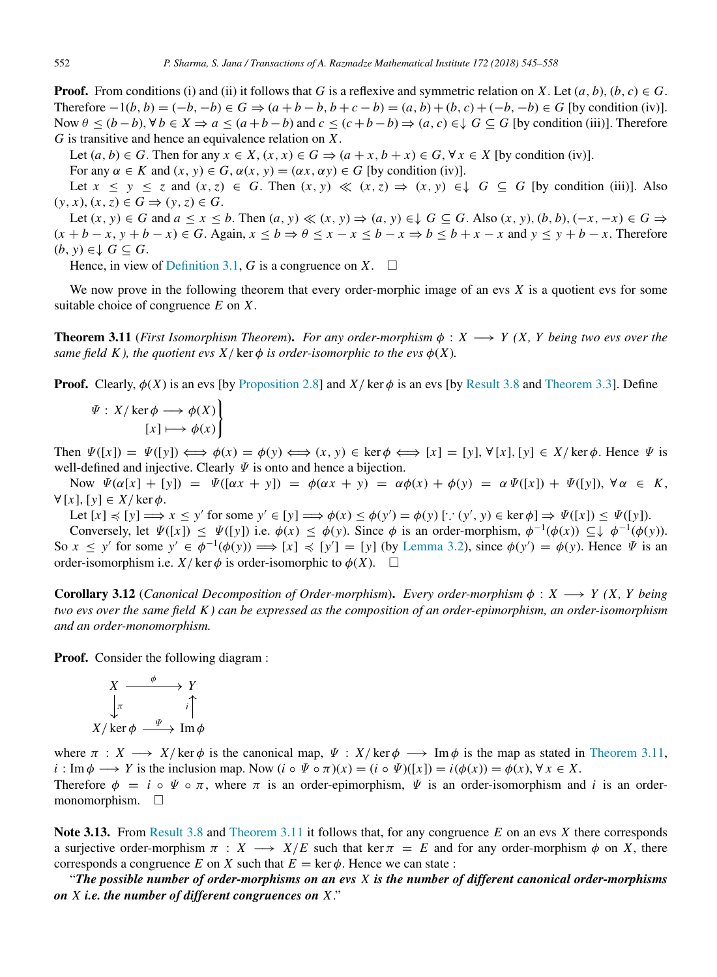**Proof.** From conditions (i) and (ii) it follows that *G* is a reflexive and symmetric relation on *X*. Let  $(a, b)$ ,  $(b, c) \in G$ . Therefore  $-1(b, b) = (-b, -b) \in G \Rightarrow (a + b - b, b + c - b) = (a, b) + (b, c) + (-b, -b) \in G$  [by condition (iv)]. Now  $\theta \le (b - b)$ ,  $\forall b \in X \Rightarrow a \le (a + b - b)$  and  $c \le (c + b - b) \Rightarrow (a, c) \in \downarrow G \subseteq G$  [by condition (iii)]. Therefore *G* is transitive and hence an equivalence relation on *X*.

Let  $(a, b) \in G$ . Then for any  $x \in X$ ,  $(x, x) \in G$   $\Rightarrow$   $(a + x, b + x) \in G$ , ∀  $x \in X$  [by condition (iv)].

For any  $\alpha \in K$  and  $(x, y) \in G$ ,  $\alpha(x, y) = (\alpha x, \alpha y) \in G$  [by condition (iv)].

Let  $x \leq y \leq z$  and  $(x, z) \in G$ . Then  $(x, y) \ll (x, z) \Rightarrow (x, y) \in \downarrow G \subseteq G$  [by condition (iii)]. Also  $(y, x), (x, z) \in G \Rightarrow (y, z) \in G$ .

Let  $(x, y) \in G$  and  $a \le x \le b$ . Then  $(a, y) \ll (x, y) \Rightarrow (a, y) \in \mathcal{L}$   $G \subseteq G$ . Also  $(x, y)$ ,  $(b, b)$ ,  $(-x, -x) \in G \Rightarrow$  $(x + b - x, y + b - x) \in G$ . Again,  $x \le b \Rightarrow \theta \le x - x \le b - x \Rightarrow b \le b + x - x$  and  $y \le y + b - x$ . Therefore  $(b, y) ∈ √ G ⊆ G$ .

Hence, in view of [Definition 3.1,](#page-4-1) *G* is a congruence on *X*.  $\Box$ 

We now prove in the following theorem that every order-morphic image of an evs *X* is a quotient evs for some suitable choice of congruence *E* on *X*.

<span id="page-7-0"></span>**Theorem 3.11** (*First Isomorphism Theorem*). *For any order-morphism*  $\phi : X \longrightarrow Y$  (*X, Y being two evs over the same field K), the quotient evs X/* ker  $\phi$  *is order-isomorphic to the evs*  $\phi$ (*X*)*.* 

**Proof.** Clearly,  $\phi(X)$  is an evs [by [Proposition 2.8\]](#page-4-0) and  $X/\text{ker }\phi$  is an evs [by [Result 3.8](#page-6-1) and [Theorem 3.3\]](#page-5-1). Define

$$
\Psi: X/\ker \phi \longrightarrow \phi(X) \left\{ [x] \longmapsto \phi(x) \right\}
$$

Then  $\Psi([x]) = \Psi([y]) \Longleftrightarrow \phi(x) = \phi(y) \Longleftrightarrow (x, y) \in \text{ker }\phi \Longleftrightarrow [x] = [y], \forall [x], [y] \in X/\text{ker }\phi$ . Hence  $\Psi$  is well-defined and injective. Clearly  $\Psi$  is onto and hence a bijection.

Now  $\Psi(\alpha[x] + [y]) = \Psi([\alpha x + y]) = \phi(\alpha x + y) = \alpha \phi(x) + \phi(y) = \alpha \Psi([x]) + \Psi([y])$ ,  $\forall \alpha \in K$ ,  $∀[*x*], [*y*] ∈ *X*/ker  $\phi$ .$ 

Let  $[x] \preccurlyeq [y] \Longrightarrow x \leq y'$  for some  $y' \in [y] \Longrightarrow \phi(x) \leq \phi(y') = \phi(y)$   $[\because (y', y) \in \ker \phi] \Rightarrow \Psi([x]) \leq \Psi([y])$ .

Conversely, let  $\Psi([x]) \leq \Psi([y])$  i.e.  $\phi(x) \leq \phi(y)$ . Since  $\phi$  is an order-morphism,  $\phi^{-1}(\phi(x)) \subseteq \phi^{-1}(\phi(y))$ . So  $x \leq y'$  for some  $y' \in \phi^{-1}(\phi(y)) \Longrightarrow [x] \preccurlyeq [y'] = [y]$  (by [Lemma 3.2\)](#page-5-0), since  $\phi(y') = \phi(y)$ . Hence  $\Psi$  is an order-isomorphism i.e. *X*/ $\ker \phi$  is order-isomorphic to  $\phi(X)$ .  $\square$ 

Corollary 3.12 (*Canonical Decomposition of Order-morphism*). *Every order-morphism* φ : *X* −→ *Y (X, Y being two evs over the same field K ) can be expressed as the composition of an order-epimorphism, an order-isomorphism and an order-monomorphism.*

Proof. Consider the following diagram :

$$
X \xrightarrow{\phi} Y
$$
  
\n
$$
\downarrow \pi \qquad \qquad i \uparrow
$$
  
\n
$$
X/\ker \phi \xrightarrow{\Psi} \operatorname{Im} \phi
$$

where  $\pi : X \longrightarrow X/\text{ker }\phi$  is the canonical map,  $\Psi : X/\text{ker }\phi \longrightarrow \text{Im }\phi$  is the map as stated in [Theorem 3.11,](#page-7-0)  $i : \text{Im } \phi \longrightarrow Y$  is the inclusion map. Now  $(i \circ \Psi \circ \pi)(x) = (i \circ \Psi)([x]) = i(\phi(x)) = \phi(x), \forall x \in X$ .

Therefore  $\phi = i \circ \Psi \circ \pi$ , where  $\pi$  is an order-epimorphism,  $\Psi$  is an order-isomorphism and *i* is an ordermonomorphism. □

Note 3.13. From [Result 3.8](#page-6-1) and [Theorem 3.11](#page-7-0) it follows that, for any congruence *E* on an evs *X* there corresponds a surjective order-morphism  $\pi$  :  $X \longrightarrow X/E$  such that ker  $\pi = E$  and for any order-morphism  $\phi$  on X, there corresponds a congruence *E* on *X* such that  $E = \text{ker } \phi$ . Hence we can state :

"*The possible number of order-morphisms on an evs X is the number of different canonical order-morphisms on X i.e. the number of different congruences on X*."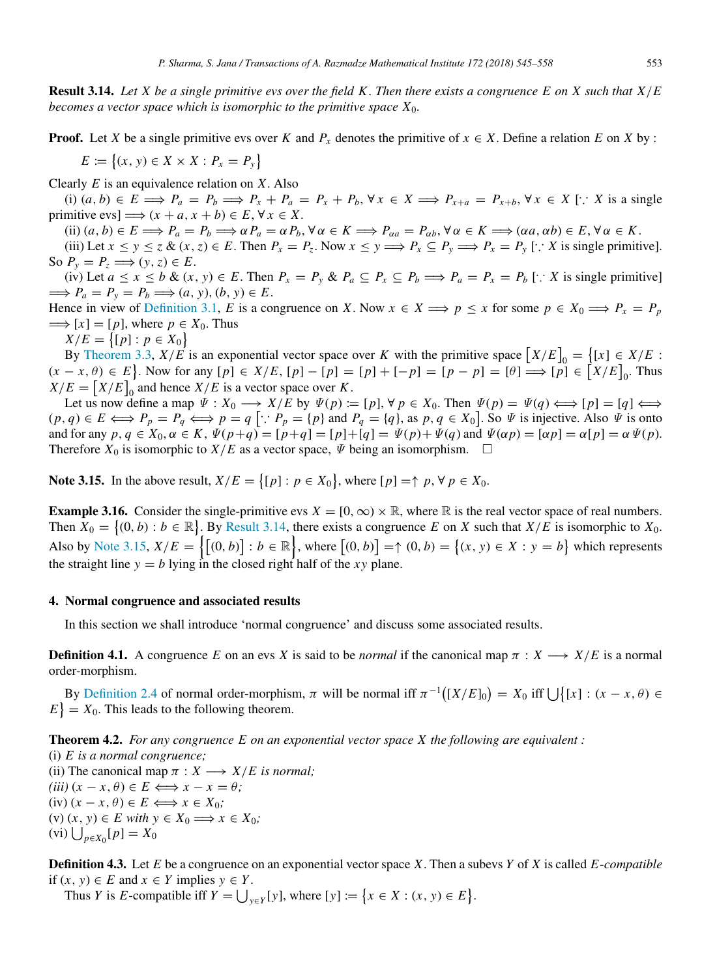<span id="page-8-0"></span>Result 3.14. *Let X be a single primitive evs over the field K . Then there exists a congruence E on X such that X*/*E becomes a vector space which is isomorphic to the primitive space X*0*.*

**Proof.** Let *X* be a single primitive evs over *K* and  $P_x$  denotes the primitive of  $x \in X$ . Define a relation *E* on *X* by :

 $E := \{(x, y) \in X \times X : P_x = P_y\}$ 

Clearly *E* is an equivalence relation on *X*. Also

(i)  $(a, b) \in E \implies P_a = P_b \implies P_x + P_a = P_x + P_b$ ,  $\forall x \in X \implies P_{x+a} = P_{x+b}$ ,  $\forall x \in X$  [: X is a single primitive evs]  $\implies$   $(x + a, x + b) \in E, \forall x \in X$ .

(ii)  $(a, b) \in E \Longrightarrow P_a = P_b \Longrightarrow \alpha P_a = \alpha P_b$ ,  $\forall \alpha \in K \Longrightarrow P_{\alpha a} = P_{\alpha b}$ ,  $\forall \alpha \in K \Longrightarrow (\alpha a, \alpha b) \in E$ ,  $\forall \alpha \in K$ .

(iii) Let  $x \le y \le z$  &  $(x, z) \in E$ . Then  $P_x = P_z$ . Now  $x \le y \Longrightarrow P_x \subseteq P_y \Longrightarrow P_x = P_y$  [:  $X$  is single primitive]. So  $P_y = P_z \Longrightarrow (y, z) \in E$ .

(iv) Let  $a \le x \le b$  &  $(x, y) \in E$ . Then  $P_x = P_y$  &  $P_a \subseteq P_x \subseteq P_b \Longrightarrow P_a = P_x = P_b$  [: X is single primitive]  $\implies P_a = P_v = P_b \Longrightarrow (a, y), (b, y) \in E.$ 

Hence in view of [Definition 3.1,](#page-4-1) *E* is a congruence on *X*. Now  $x \in X \implies p \leq x$  for some  $p \in X_0 \implies P_x = P_p$  $\implies$   $[x] = [p]$ , where  $p \in X_0$ . Thus

 $X/E = \{ [p] : p \in X_0 \}$ 

By [Theorem 3.3,](#page-5-1)  $X/E$  is an exponential vector space over *K* with the primitive space  $[X/E]_0 = \{(x) \in X/E : Z \neq E\}$  $(x - x, \theta) \in E$ . Now for any  $[p] \in X/E$ ,  $[p] - [p] = [p] + [-p] = [p - p] = [\theta] \implies [p] \in [X/E]_0$ . Thus  $X/E = [X/E]_0$  and hence  $X/E$  is a vector space over *K*.

Let us now define a map  $\Psi : X_0 \longrightarrow X/E$  by  $\Psi(p) := [p], \forall p \in X_0$ . Then  $\Psi(p) = \Psi(q) \Longleftrightarrow [p] = [q] \Longleftrightarrow$  $(p,q) \in E \Longleftrightarrow P_p = P_q \Longleftrightarrow p = q [\because P_p = \{p\} \text{ and } P_q = \{q\}, \text{ as } p, q \in X_0].$  So  $\Psi$  is injective. Also  $\Psi$  is onto and for any  $p, q \in X_0, \alpha \in K$ ,  $\Psi(p+q) = [p+q] = [p]+[q] = \Psi(p) + \Psi(q)$  and  $\Psi(\alpha p) = [\alpha p] = \alpha \Psi(p)$ . Therefore  $X_0$  is isomorphic to  $X/E$  as a vector space,  $\Psi$  being an isomorphism.  $\Box$ 

<span id="page-8-1"></span>Note 3.15. In the above result,  $X/E = \{ [p] : p \in X_0 \}$ , where  $[p] = \uparrow p$ ,  $\forall p \in X_0$ .

**Example 3.16.** Consider the single-primitive evs  $X = [0, \infty) \times \mathbb{R}$ , where  $\mathbb{R}$  is the real vector space of real numbers. Then  $X_0 = \{(0, b) : b \in \mathbb{R}\}$ . By [Result 3.14,](#page-8-0) there exists a congruence *E* on *X* such that  $X/E$  is isomorphic to  $X_0$ . Also by [Note 3.15,](#page-8-1)  $X/E = \{[(0, b)] : b \in \mathbb{R}\}\$ , where  $[(0, b)] = \{(x, y) \in X : y = b\}$  which represents the straight line  $y = b$  lying in the closed right half of the *xy* plane.

#### 4. Normal congruence and associated results

In this section we shall introduce 'normal congruence' and discuss some associated results.

**Definition 4.1.** A congruence *E* on an evs *X* is said to be *normal* if the canonical map  $\pi : X \longrightarrow X/E$  is a normal order-morphism.

By [Definition 2.4](#page-3-1) of normal order-morphism,  $\pi$  will be normal iff  $\pi^{-1}([X/E]_0) = X_0$  iff  $\bigcup \{ [x] : (x - x, \theta) \in$  $E$  =  $X_0$ . This leads to the following theorem.

Theorem 4.2. *For any congruence E on an exponential vector space X the following are equivalent :*

(i) *E is a normal congruence;* (ii) The canonical map  $\pi : X \longrightarrow X/E$  is normal;  $(iii)$   $(x - x, \theta) \in E \Longleftrightarrow x - x = \theta;$  $(iv) (x - x, \theta) \in E \Longleftrightarrow x \in X_0;$  $(v)(x, y) \in E$  *with*  $y \in X_0 \Longrightarrow x \in X_0$ ;  $(vi) \bigcup_{p \in X_0} [p] = X_0$ 

Definition 4.3. Let *E* be a congruence on an exponential vector space *X*. Then a subevs *Y* of *X* is called *E*-*compatible* if  $(x, y)$  ∈ *E* and  $x$  ∈ *Y* implies  $y$  ∈ *Y*.

Thus *Y* is *E*-compatible iff  $Y = \bigcup_{y \in Y} [y]$ , where  $[y] := \{x \in X : (x, y) \in E\}$ .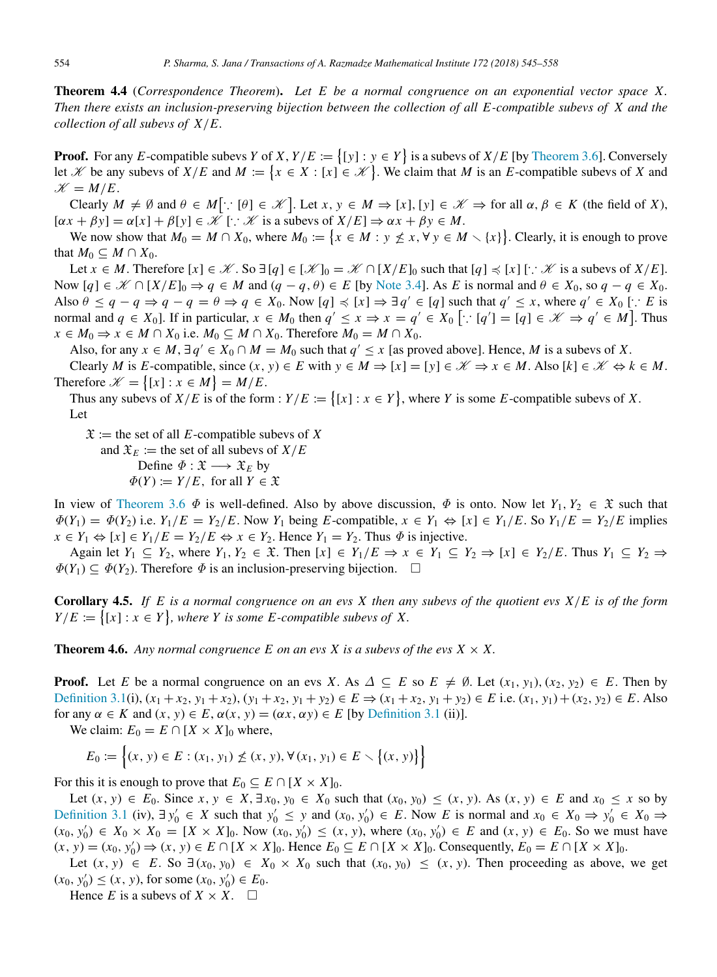Theorem 4.4 (*Correspondence Theorem*). *Let E be a normal congruence on an exponential vector space X. Then there exists an inclusion-preserving bijection between the collection of all E-compatible subevs of X and the collection of all subevs of X*/*E.*

**Proof.** For any *E*-compatible subevs *Y* of *X*,  $Y/E := \{ [y] : y \in Y \}$  is a subevs of  $X/E$  [by [Theorem 3.6\]](#page-6-2). Conversely let X be any subevs of  $X/E$  and  $M := \{x \in X : [x] \in \mathcal{K}\}\.$  We claim that M is an E-compatible subevs of X and  $\mathcal{K} = M/E$ .

Clearly  $M \neq \emptyset$  and  $\theta \in M[\because [\theta] \in \mathcal{K}].$  Let  $x, y \in M \Rightarrow [x], [y] \in \mathcal{K} \Rightarrow$  for all  $\alpha, \beta \in K$  (the field of *X*),  $[\alpha x + \beta y] = \alpha[x] + \beta[y] \in \mathcal{K}$  [:  $\mathcal{K}$  is a subevs of  $X/E] \Rightarrow \alpha x + \beta y \in M$ .

We now show that  $M_0 = M \cap X_0$ , where  $M_0 := \{x \in M : y \nleq x, \forall y \in M \setminus \{x\}\}\)$ . Clearly, it is enough to prove that  $M_0 \subseteq M \cap X_0$ .

Let *x* ∈ *M*. Therefore  $[x] \in \mathcal{K}$ . So  $\exists [q] \in [\mathcal{K}]_0 = \mathcal{K} \cap [X/E]_0$  such that  $[q] \preccurlyeq [x]$  [∵  $\mathcal{K}$  is a subevs of  $X/E$ ]. Now  $[q] \in \mathcal{K} \cap [X/E]_0 \Rightarrow q \in M$  and  $(q - q, \theta) \in E$  [by [Note 3.4\]](#page-6-3). As *E* is normal and  $\theta \in X_0$ , so  $q - q \in X_0$ . Also  $\theta \le q - q \Rightarrow q - q = \theta \Rightarrow q \in X_0$ . Now  $[q] \preccurlyeq [x] \Rightarrow \exists q' \in [q]$  such that  $q' \le x$ , where  $q' \in X_0$  [∵ *E* is normal and  $q \in X_0$ . If in particular,  $x \in M_0$  then  $q' \le x \Rightarrow x = q' \in X_0$  [ $\because [q'] = [q] \in \mathcal{K} \Rightarrow q' \in M$ ]. Thus *x* ∈ *M*<sub>0</sub>  $\Rightarrow$  *x* ∈ *M* ∩ *X*<sub>0</sub> i.e. *M*<sub>0</sub> ⊆ *M* ∩ *X*<sub>0</sub>. Therefore *M*<sub>0</sub> = *M* ∩ *X*<sub>0</sub>.

Also, for any  $x \in M$ ,  $\exists q' \in X_0 \cap M = M_0$  such that  $q' \leq x$  [as proved above]. Hence, M is a subevs of X.

Clearly *M* is *E*-compatible, since  $(x, y) \in E$  with  $y \in M \Rightarrow [x] = [y] \in \mathcal{K} \Rightarrow x \in M$ . Also  $[k] \in \mathcal{K} \Leftrightarrow k \in M$ . Therefore  $\mathcal{K} = \{ [x] : x \in M \} = M/E$ .

Thus any subevs of  $X/E$  is of the form :  $Y/E := \{ [x] : x \in Y \}$ , where *Y* is some *E*-compatible subevs of *X*. Let

 $\mathfrak{X}$  := the set of all *E*-compatible subevs of *X* 

and  $\mathfrak{X}_E :=$  the set of all subevs of  $X/E$ 

Define  $\Phi : \mathfrak{X} \longrightarrow \mathfrak{X}_E$  by  $\Phi(Y) := Y/E$ , for all  $Y \in \mathfrak{X}$ 

In view of [Theorem 3.6](#page-6-2)  $\Phi$  is well-defined. Also by above discussion,  $\Phi$  is onto. Now let  $Y_1, Y_2 \in \mathfrak{X}$  such that  $\Phi(Y_1) = \Phi(Y_2)$  i.e.  $Y_1/E = Y_2/E$ . Now  $Y_1$  being  $E$ -compatible,  $x \in Y_1 \Leftrightarrow [x] \in Y_1/E$ . So  $Y_1/E = Y_2/E$  implies  $x \in Y_1 \Leftrightarrow [x] \in Y_1/E = Y_2/E \Leftrightarrow x \in Y_2$ . Hence  $Y_1 = Y_2$ . Thus  $\Phi$  is injective.

Again let *Y*<sup>1</sup> ⊆ *Y*2, where *Y*1, *Y*<sup>2</sup> ∈ X. Then [*x*] ∈ *Y*1/*E* ⇒ *x* ∈ *Y*<sup>1</sup> ⊆ *Y*<sup>2</sup> ⇒ [*x*] ∈ *Y*2/*E*. Thus *Y*<sup>1</sup> ⊆ *Y*<sup>2</sup> ⇒  $\Phi(Y_1) \subseteq \Phi(Y_2)$ . Therefore  $\Phi$  is an inclusion-preserving bijection.  $\Box$ 

Corollary 4.5. *If E is a normal congruence on an evs X then any subevs of the quotient evs X*/*E is of the form*  $Y/E := \{ [x] : x \in Y \}$ , where *Y* is some *E*-compatible subevs of *X*.

**Theorem 4.6.** Any normal congruence E on an evs X is a subevs of the evs  $X \times X$ .

**Proof.** Let *E* be a normal congruence on an evs *X*. As  $\Delta \subseteq E$  so  $E \neq \emptyset$ . Let  $(x_1, y_1), (x_2, y_2) \in E$ . Then by [Definition 3.1\(](#page-4-1)i),  $(x_1 + x_2, y_1 + x_2)$ ,  $(y_1 + x_2, y_1 + y_2) \in E \Rightarrow (x_1 + x_2, y_1 + y_2) \in E$  i.e.  $(x_1, y_1) + (x_2, y_2) \in E$ . Also for any  $\alpha \in K$  and  $(x, y) \in E$ ,  $\alpha(x, y) = (\alpha x, \alpha y) \in E$  [by [Definition 3.1](#page-4-1) (ii)].

We claim:  $E_0 = E \cap [X \times X]_0$  where,

$$
E_0 := \left\{ (x, y) \in E : (x_1, y_1) \nleq (x, y), \forall (x_1, y_1) \in E \setminus \{(x, y)\} \right\}
$$

For this it is enough to prove that  $E_0 \subseteq E \cap [X \times X]_0$ .

Let  $(x, y) \in E_0$ . Since  $x, y \in X$ ,  $\exists x_0, y_0 \in X_0$  such that  $(x_0, y_0) \le (x, y)$ . As  $(x, y) \in E$  and  $x_0 \le x$  so by [Definition 3.1](#page-4-1) (iv),  $\exists y'_0 \in X$  such that  $y'_0 \le y$  and  $(x_0, y'_0) \in E$ . Now *E* is normal and  $x_0 \in X_0 \Rightarrow y'_0 \in X_0 \Rightarrow Y'_0$  $(x_0, y'_0) \in X_0 \times X_0 = [X \times X]_0$ . Now  $(x_0, y'_0) \le (x, y)$ , where  $(x_0, y'_0) \in E$  and  $(x, y) \in E_0$ . So we must have  $(x, y) = (x_0, y'_0) \Rightarrow (x, y) \in E \cap [X \times X]_0$ . Hence  $E_0 \subseteq E \cap [X \times X]_0$ . Consequently,  $E_0 = E \cap [X \times X]_0$ .

Let  $(x, y) \in E$ . So  $\exists (x_0, y_0) \in X_0 \times X_0$  such that  $(x_0, y_0) \le (x, y)$ . Then proceeding as above, we get  $(x_0, y'_0) \le (x, y)$ , for some  $(x_0, y'_0) \in E_0$ .

Hence *E* is a subevs of  $X \times X$ .  $\square$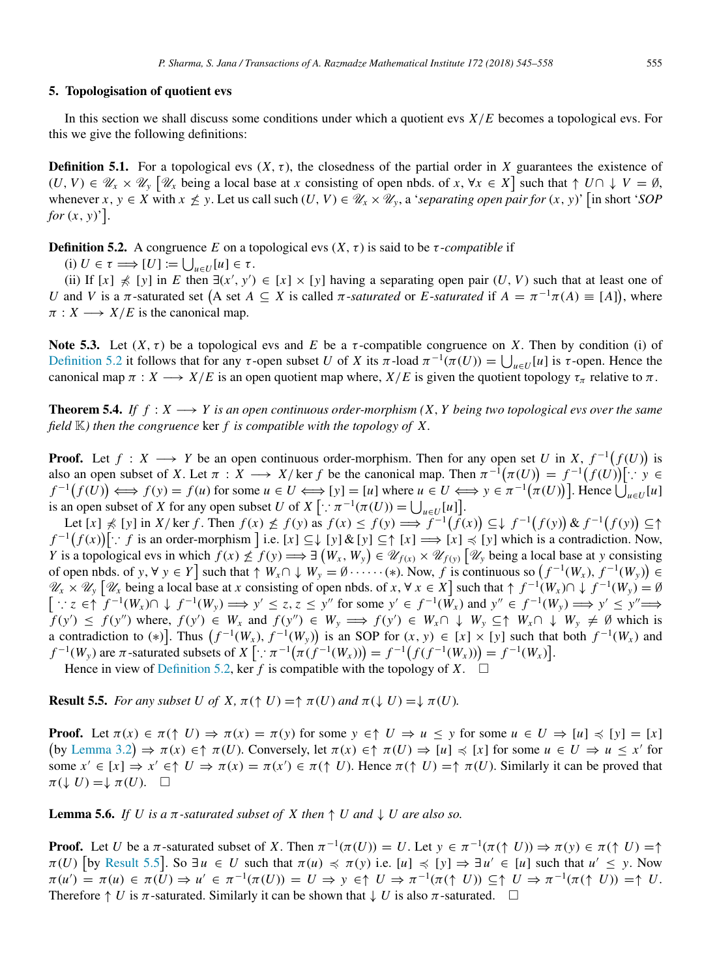# 5. Topologisation of quotient evs

In this section we shall discuss some conditions under which a quotient evs *X*/*E* becomes a topological evs. For this we give the following definitions:

**Definition 5.1.** For a topological evs  $(X, \tau)$ , the closedness of the partial order in X guarantees the existence of  $(U, V) \in \mathscr{U}_x \times \mathscr{U}_y$  [ $\mathscr{U}_x$  being a local base at *x* consisting of open nbds. of  $x, \forall x \in X$ ] such that  $\uparrow U \cap \downarrow V = \emptyset$ , whenever  $x, y \in X$  with  $x \nleq y$ . Let us call such  $(U, V) \in \mathcal{U}_x \times \mathcal{U}_y$ , a *'separating open pair for*  $(x, y)$ ' [in short '*SOP for*  $(x, y)$ <sup>'</sup>].

<span id="page-10-0"></span>**Definition 5.2.** A congruence *E* on a topological evs  $(X, \tau)$  is said to be  $\tau$ -*compatible* if

 $(i) U \in \tau \Longrightarrow [U] := \bigcup_{u \in U} [u] \in \tau.$ 

(ii) If  $[x] \nless [y]$  in *E* then  $\exists (x', y') \in [x] \times [y]$  having a separating open pair  $(U, V)$  such that at least one of *U* and *V* is a  $\pi$ -saturated set  $(A \text{ set } A \subseteq X \text{ is called } \pi$ -*saturated* or *E*-*saturated* if  $A = \pi^{-1}\pi(A) \equiv [A]$ , where  $\pi : X \longrightarrow X/E$  is the canonical map.

<span id="page-10-2"></span>Note 5.3. Let  $(X, \tau)$  be a topological evs and E be a  $\tau$ -compatible congruence on X. Then by condition (i) of [Definition 5.2](#page-10-0) it follows that for any τ-open subset *U* of *X* its π-load  $\pi^{-1}(\pi(U)) = \bigcup_{u \in U}[u]$  is τ-open. Hence the canonical map  $\pi : X \longrightarrow X/E$  is an open quotient map where,  $X/E$  is given the quotient topology  $\tau_{\pi}$  relative to  $\pi$ .

**Theorem 5.4.** *If*  $f : X \longrightarrow Y$  *is an open continuous order-morphism*  $(X, Y)$  *being two topological evs over the same field* K*) then the congruence* ker *f is compatible with the topology of X.*

**Proof.** Let  $f: X \longrightarrow Y$  be an open continuous order-morphism. Then for any open set *U* in *X*,  $f^{-1}(f(U))$  is also an open subset of *X*. Let  $\pi : X \longrightarrow X$ / ker *f* be the canonical map. Then  $\pi^{-1}(\pi(U)) = f^{-1}(f(U))$ [∵ *y* ∈  $f^{-1}(f(U)) \iff f(y) = f(u)$  for some  $u \in U \iff [y] = [u]$  where  $u \in U \iff y \in \pi^{-1}(\pi(U))$ . Hence  $\bigcup_{u \in U}[u]$ is an open subset of *X* for any open subset *U* of *X*  $[\cdot : \pi^{-1}(\pi(U)) = \bigcup_{u \in U}[u]]$ .

Let  $[x] \nless [y]$  in X/ker f. Then  $f(x) \nless [f(y)]$  as  $f(x) \nless [f(y)] \implies f^{-1}(f(x)) \nless [f^{-1}(f(y))] \& f^{-1}(f(y)) \nless [f^{-1}(f(x))]$  $f^{-1}(f(x))$ [∴ *f* is an order-morphism ] i.e. [*x*] ⊆↓ [*y*] & [*y*] ⊆↑ [*x*]  $\Rightarrow$  [*x*]  $\preccurlyeq$  [*y*] which is a contradiction. Now, Y is a topological evs in which  $f(x) \nleq f(y) \Longrightarrow \exists (W_x, W_y) \in \mathcal{U}_{f(x)} \times \mathcal{U}_{f(y)} [\mathcal{U}_y]$  being a local base at y consisting of open nbds. of *y*,  $\forall y \in Y$  such that  $\uparrow W_x \cap \downarrow W_y = \emptyset \cdots \cdots (*)$ . Now, *f* is continuous so  $(f^{-1}(W_x), f^{-1}(W_y)) \in$  $\mathscr{U}_x \times \mathscr{U}_y$  [ $\mathscr{U}_x$  being a local base at *x* consisting of open nbds. of *x*,  $\forall x \in X$ ] such that  $\uparrow f^{-1}(W_x) \cap \downarrow f^{-1}(W_y) = \emptyset$  $\big[ \because z \in \uparrow f^{-1}(W_x) \cap \downarrow f^{-1}(W_y) \Longrightarrow y' \leq z, z \leq y'' \text{ for some } y' \in f^{-1}(W_x) \text{ and } y'' \in f^{-1}(W_y) \Longrightarrow y' \leq y'' \Longrightarrow$  $f(y') \le f(y'')$  where,  $f(y') \in W_x$  and  $f(y'') \in W_y \implies f(y') \in W_x \cap \downarrow W_y \subseteq \uparrow W_x \cap \downarrow W_y \neq \emptyset$  which is a contradiction to (\*)]. Thus  $(f^{-1}(W_x), f^{-1}(W_y))$  is an SOP for  $(x, y) \in [x] \times [y]$  such that both  $f^{-1}(W_x)$  and  $f^{-1}(W_y)$  are  $\pi$ -saturated subsets of  $X[\because \pi^{-1}(\pi(f^{-1}(W_x))) = f^{-1}(f(f^{-1}(W_x))) = f^{-1}(W_x)].$ 

Hence in view of [Definition 5.2,](#page-10-0) ker *f* is compatible with the topology of *X*.  $\square$ 

<span id="page-10-1"></span>**Result 5.5.** *For any subset U of X,*  $\pi(\uparrow U) = \uparrow \pi(U)$  *and*  $\pi(\downarrow U) = \downarrow \pi(U)$ *.* 

**Proof.** Let  $\pi(x) \in \pi(\uparrow U) \Rightarrow \pi(x) = \pi(y)$  for some  $y \in \uparrow U \Rightarrow u \leq y$  for some  $u \in U \Rightarrow [u] \leq [y] = [x]$  $(\text{by Lemma 3.2}) \Rightarrow \pi(x) \in \uparrow \pi(U)$  $(\text{by Lemma 3.2}) \Rightarrow \pi(x) \in \uparrow \pi(U)$  $(\text{by Lemma 3.2}) \Rightarrow \pi(x) \in \uparrow \pi(U)$ . Conversely, let  $\pi(x) \in \uparrow \pi(U) \Rightarrow [u] \preccurlyeq [x]$  for some  $u \in U \Rightarrow u \leq x'$  for some  $x' \in [x] \Rightarrow x' \in \uparrow U \Rightarrow \pi(x) = \pi(x') \in \pi(\uparrow U)$ . Hence  $\pi(\uparrow U) = \uparrow \pi(U)$ . Similarly it can be proved that  $\pi(\downarrow U) = \downarrow \pi(U)$ .  $\Box$ 

<span id="page-10-3"></span>**Lemma 5.6.** *If U is a*  $\pi$ -saturated subset of X then  $\uparrow$  U and  $\downarrow$  U are also so.

**Proof.** Let *U* be a  $\pi$ -saturated subset of *X*. Then  $\pi^{-1}(\pi(U)) = U$ . Let  $y \in \pi^{-1}(\pi(\uparrow U)) \Rightarrow \pi(y) \in \pi(\uparrow U) = \uparrow$  $\pi(U)$  [by [Result 5.5](#page-10-1)]. So  $\exists u \in U$  such that  $\pi(u) \preccurlyeq \pi(y)$  i.e.  $[u] \preccurlyeq [y] \Rightarrow \exists u' \in [u]$  such that  $u' \preceq y$ . Now  $\pi(u') = \pi(u) \in \pi(\tilde{U}) \Rightarrow u' \in \pi^{-1}(\pi(U)) = U \Rightarrow y \in \uparrow U \Rightarrow \pi^{-1}(\pi(\uparrow U)) \subseteq \uparrow U \Rightarrow \pi^{-1}(\pi(\uparrow U)) = \uparrow U$ . Therefore  $\uparrow U$  is  $\pi$ -saturated. Similarly it can be shown that  $\downarrow U$  is also  $\pi$ -saturated.  $\Box$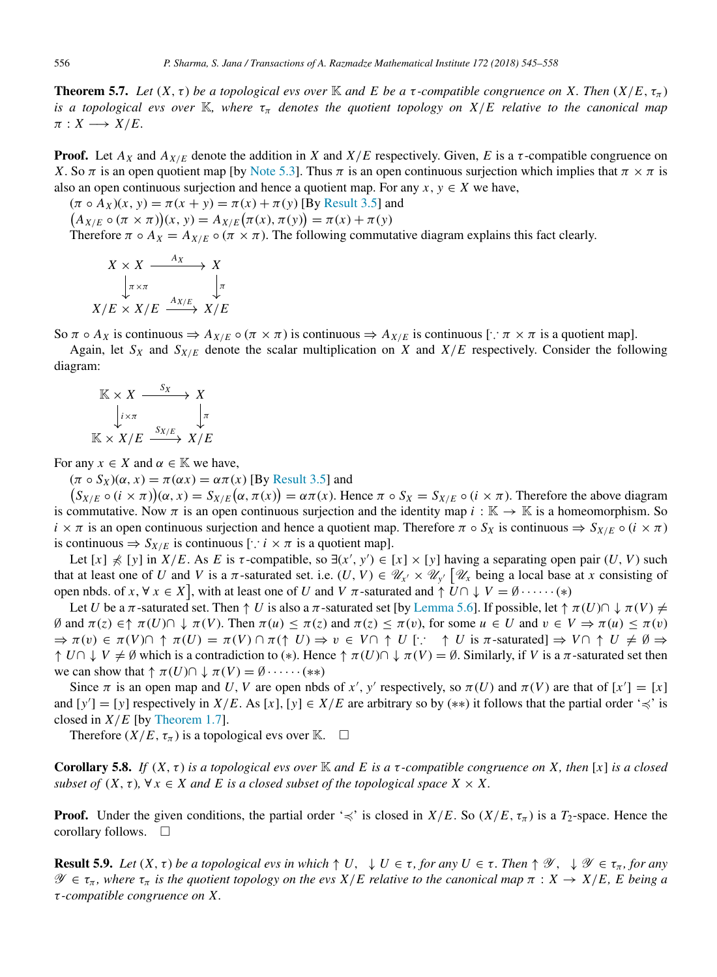<span id="page-11-0"></span>**Theorem 5.7.** *Let*  $(X, \tau)$  *be a topological evs over* K *and* E *be a*  $\tau$ -compatible congruence on X. Then  $(X/E, \tau_{\pi})$ *is a topological evs over* K, where  $\tau_{\pi}$  *denotes the quotient topology on X/E relative to the canonical map*  $\pi : X \longrightarrow X/E.$ 

**Proof.** Let  $A_X$  and  $A_{X/E}$  denote the addition in *X* and  $X/E$  respectively. Given, *E* is a  $\tau$ -compatible congruence on *X*. So  $\pi$  is an open quotient map [by [Note 5.3\]](#page-10-2). Thus  $\pi$  is an open continuous surjection which implies that  $\pi \times \pi$  is also an open continuous surjection and hence a quotient map. For any  $x, y \in X$  we have,

 $(\pi \circ A_X)(x, y) = \pi(x + y) = \pi(x) + \pi(y)$  [By [Result 3.5\]](#page-6-0) and  $(A_{X/E} \circ (\pi \times \pi))(x, y) = A_{X/E}(\pi(x), \pi(y)) = \pi(x) + \pi(y)$ Therefore  $\pi \circ A_X = A_{X/E} \circ (\pi \times \pi)$ . The following commutative diagram explains this fact clearly.

$$
X \times X \xrightarrow{A_X} X
$$
  
\n
$$
\downarrow \pi \times \pi
$$
  
\n
$$
X/E \times X/E \xrightarrow{A_{X/E}} X/E
$$

So  $\pi \circ A_X$  is continuous  $\Rightarrow A_{X/E} \circ (\pi \times \pi)$  is continuous  $\Rightarrow A_{X/E}$  is continuous  $[\cdot, \pi \times \pi]$  is a quotient map].

Again, let  $S_X$  and  $S_{X/E}$  denote the scalar multiplication on *X* and  $X/E$  respectively. Consider the following diagram:

$$
\begin{array}{ccc}\n\mathbb{K} \times X & \xrightarrow{S_X} & X \\
\downarrow_{i \times \pi} & & \downarrow_{\pi} \\
\mathbb{K} \times X/E & \xrightarrow{S_{X/E}} & X/E\n\end{array}
$$

For any  $x \in X$  and  $\alpha \in \mathbb{K}$  we have,

 $(\pi \circ S_X)(\alpha, x) = \pi(\alpha x) = \alpha \pi(x)$  [By [Result 3.5\]](#page-6-0) and

 $(S_{X/E} \circ (i \times \pi))(\alpha, x) = S_{X/E}(\alpha, \pi(x)) = \alpha \pi(x)$ . Hence  $\pi \circ S_X = S_{X/E} \circ (i \times \pi)$ . Therefore the above diagram is commutative. Now  $\pi$  is an open continuous surjection and the identity map  $i : \mathbb{K} \to \mathbb{K}$  is a homeomorphism. So  $i \times \pi$  is an open continuous surjection and hence a quotient map. Therefore  $\pi \circ S_X$  is continuous  $\Rightarrow S_{X/E} \circ (i \times \pi)$ is continuous ⇒ *S<sup>X</sup>*/*<sup>E</sup>* is continuous [∵ *i* × π is a quotient map].

Let  $[x] \nless [y]$  in  $X/E$ . As E is  $\tau$ -compatible, so  $\exists (x', y') \in [x] \times [y]$  having a separating open pair  $(U, V)$  such that at least one of *U* and *V* is a  $\pi$ -saturated set. i.e.  $(U, V) \in \mathcal{U}_{X'} \times \mathcal{U}_{Y'}$  [ $\mathcal{U}_X$  being a local base at *x* consisting of open nbds. of  $x, \forall x \in X$ , with at least one of *U* and *V*  $\pi$ -saturated and  $\uparrow$   $\overline{U} \cap \downarrow V = \emptyset \cdots \cdots (*)$ 

Let *U* be a  $\pi$ -saturated set. Then  $\uparrow U$  is also a  $\pi$ -saturated set [by [Lemma 5.6\]](#page-10-3). If possible, let  $\uparrow \pi(U) \cap \downarrow \pi(V) \neq$ ∅ and π(*z*) ∈↑ π(*U*)∩ ↓ π(*V*). Then π(*u*) ≤ π(*z*) and π(*z*) ≤ π(v), for some *u* ∈ *U* and v ∈ *V* ⇒ π(*u*) ≤ π(v)  $\Rightarrow \pi(v) \in \pi(V) \cap \pi(\mathcal{U}) = \pi(V) \cap \pi(\uparrow U) \Rightarrow v \in V \cap \uparrow U$  [:  $\uparrow U$  is  $\pi$ -saturated]  $\Rightarrow V \cap \uparrow U \neq \emptyset \Rightarrow$  $\uparrow U \cap \downarrow V \neq \emptyset$  which is a contradiction to (\*). Hence  $\uparrow \pi(U) \cap \downarrow \pi(V) = \emptyset$ . Similarly, if *V* is a  $\pi$ -saturated set then we can show that  $\uparrow \pi(U) \cap \downarrow \pi(V) = \emptyset \cdots \cdots (*)$ 

Since  $\pi$  is an open map and U, V are open nbds of x', y' respectively, so  $\pi(U)$  and  $\pi(V)$  are that of  $[x'] = [x]$ and  $[y'] = [y]$  respectively in  $X/E$ . As  $[x]$ ,  $[y] \in X/E$  are arbitrary so by  $(**)$  it follows that the partial order ' $\preccurlyeq$ ' is closed in  $X/E$  [by [Theorem 1.7\]](#page-2-0).

Therefore  $(X/E, \tau_{\pi})$  is a topological evs over K.  $\square$ 

**Corollary 5.8.** *If*  $(X, \tau)$  *is a topological evs over*  $\mathbb K$  *and*  $E$  *is a*  $\tau$ -compatible congruence on X, then  $[x]$  *is a closed subset of*  $(X, \tau)$ ,  $\forall x \in X$  and E is a closed subset of the topological space  $X \times X$ .

**Proof.** Under the given conditions, the partial order ' $\preccurlyeq$ ' is closed in *X/E*. So (*X/E*,  $\tau_{\pi}$ ) is a *T*<sub>2</sub>-space. Hence the corollary follows. □

**Result 5.9.** Let  $(X, \tau)$  be a topological evs in which  $\uparrow U$ ,  $\downarrow U \in \tau$ , for any  $U \in \tau$ . Then  $\uparrow \mathscr{Y}$ ,  $\downarrow \mathscr{Y} \in \tau_{\pi}$ , for any  $\mathscr{Y} \in \tau_{\pi}$ , where  $\tau_{\pi}$  is the quotient topology on the evs  $X/E$  relative to the canonical map  $\pi : X \to X/E$ , E being a τ *-compatible congruence on X.*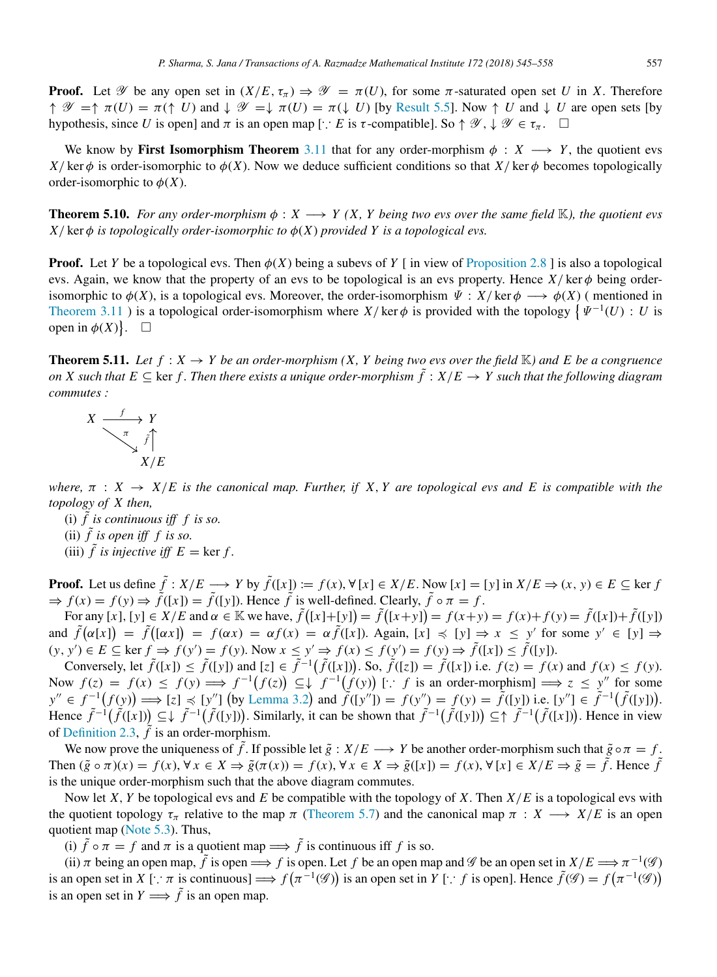**Proof.** Let  $\mathscr Y$  be any open set in  $(X/E, \tau_\pi) \Rightarrow \mathscr Y = \pi(U)$ , for some  $\pi$ -saturated open set *U* in *X*. Therefore  $\uparrow \mathscr{Y} = \uparrow \pi(U) = \pi(\uparrow U)$  and  $\downarrow \mathscr{Y} = \downarrow \pi(U) = \pi(\downarrow U)$  [by [Result 5.5\]](#page-10-1). Now  $\uparrow U$  and  $\downarrow U$  are open sets [by hypothesis, since *U* is open] and  $\pi$  is an open map [ $\therefore$  *E* is  $\tau$ -compatible]. So  $\uparrow \mathscr{Y}, \downarrow \mathscr{Y} \in \tau_{\pi}$ .  $\square$ 

We know by **First Isomorphism Theorem** [3.11](#page-7-0) that for any order-morphism  $\phi$  : *X*  $\longrightarrow$  *Y*, the quotient evs *X*/ ker  $\phi$  is order-isomorphic to  $\phi$ (*X*). Now we deduce sufficient conditions so that *X*/ ker  $\phi$  becomes topologically order-isomorphic to  $\phi(X)$ .

**Theorem 5.10.** *For any order-morphism*  $\phi: X \longrightarrow Y(X, Y)$  *being two evs over the same field* K, the quotient evs  $X$ / $\ker \phi$  *is topologically order-isomorphic to*  $\phi(X)$  *provided Y is a topological evs.* 

**Proof.** Let *Y* be a topological evs. Then  $\phi(X)$  being a subevs of *Y* [ in view of [Proposition 2.8](#page-4-0) ] is also a topological evs. Again, we know that the property of an evs to be topological is an evs property. Hence  $X/\text{ker }\phi$  being orderisomorphic to  $\phi(X)$ , is a topological evs. Moreover, the order-isomorphism  $\Psi : X/\text{ker }\phi \longrightarrow \phi(X)$  (mentioned in [Theorem 3.11](#page-7-0)) is a topological order-isomorphism where  $X/\text{ker }\phi$  is provided with the topology  $\{\Psi^{-1}(U): U$  is open in  $\phi(X)$ .  $\square$ 

**Theorem 5.11.** Let  $f: X \to Y$  be an order-morphism  $(X, Y)$  being two evs over the field  $\mathbb{K}$ ) and E be a congruence *on X such that E*  $\subseteq$  ker *f*. Then there exists a unique order-morphism  $\tilde{f}$  :  $X/E \to Y$  such that the following diagram *commutes :*

$$
X \xrightarrow{f} Y
$$
  
\n
$$
\begin{array}{c}\n X \xrightarrow{\pi} Y \\
 \downarrow \quad \text{if} \\
 X/E\n \end{array}
$$

*where,*  $\pi$  :  $X \rightarrow X/E$  *is the canonical map. Further, if X, Y are topological evs and E is compatible with the topology of X then,*

- (i)  $\tilde{f}$  is continuous iff  $f$  is so. (ii)  $\tilde{f}$  is open iff f is so.
- (iii)  $\tilde{f}$  *is injective iff*  $E = \ker f$ .

**Proof.** Let us define  $\tilde{f}: X/E \longrightarrow Y$  by  $\tilde{f}([x]) := f(x), \forall [x] \in X/E$ . Now  $[x] = [y]$  in  $X/E \Rightarrow (x, y) \in E \subseteq \ker f$  $\Rightarrow$   $f(x) = f(y) \Rightarrow \tilde{f}([x]) = \tilde{f}([y])$ . Hence  $\tilde{f}$  is well-defined. Clearly,  $\tilde{f} \circ \pi = f$ .

For any [x], [y]  $\in X/E$  and  $\alpha \in \mathbb{K}$  we have,  $\tilde{f}([x]+[y]) = \tilde{f}([x+y]) = f(x+y) = f(x)+f(y) = \tilde{f}([x]) + \tilde{f}([y])$ and  $\tilde{f}(\alpha[x]) = \tilde{f}([\alpha x]) = f(\alpha x) = \alpha f(x) = \alpha \tilde{f}([x])$ . Again,  $[x] \preccurlyeq [y] \Rightarrow x \leq y'$  for some  $y' \in [y] \Rightarrow$  $(y, y') \in E \subseteq \ker f \Rightarrow f(y') = f(y)$ . Now  $x \le y' \Rightarrow f(x) \le f(y') = f(y) \Rightarrow \tilde{f}([x]) \le \tilde{f}([y])$ .

Conversely, let  $\tilde{f}([x]) \leq \tilde{f}([y])$  and  $[z] \in \tilde{f}^{-1}(\tilde{f}([x]))$ . So,  $\tilde{f}([z]) = \tilde{f}([x])$  i.e.  $f(z) = f(x)$  and  $f(x) \leq f(y)$ . Now  $f(z) = f(x) \leq f(y) \implies f^{-1}(f(z)) \subseteq \downarrow f^{-1}(f(y))$  [∴ *f* is an order-morphism]  $\implies z \leq y''$  for some  $y'' \in f^{-1}(f(y)) \Longrightarrow [z] \preccurlyeq [y'']$  (by [Lemma 3.2](#page-5-0)) and  $\tilde{f}([y'']) = f(y') = f(y) = \tilde{f}([y])$  i.e.  $[y''] \in \tilde{f}^{-1}(\tilde{f}([y]))$ . Hence  $\tilde{f}^{-1}(\tilde{f}([x])) \subseteq \downarrow \tilde{f}^{-1}(\tilde{f}([y]))$ . Similarly, it can be shown that  $\tilde{f}^{-1}(\tilde{f}([y])) \subseteq \uparrow \tilde{f}^{-1}(\tilde{f}([x]))$ . Hence in view of [Definition 2.3,](#page-3-2)  $\tilde{f}$  is an order-morphism.

We now prove the uniqueness of  $\tilde{f}$ . If possible let  $\tilde{g}: X/E \longrightarrow Y$  be another order-morphism such that  $\tilde{g} \circ \pi = f$ . Then  $(\tilde{g} \circ \pi)(x) = f(x), \forall x \in X \Rightarrow \tilde{g}(\pi(x)) = f(x), \forall x \in X \Rightarrow \tilde{g}([x]) = f(x), \forall [x] \in X/E \Rightarrow \tilde{g} = \tilde{f}$ . Hence  $\tilde{f}$ is the unique order-morphism such that the above diagram commutes.

Now let *X*, *Y* be topological evs and *E* be compatible with the topology of *X*. Then *X*/*E* is a topological evs with the quotient topology  $\tau_{\pi}$  relative to the map  $\pi$  [\(Theorem 5.7\)](#page-11-0) and the canonical map  $\pi : X \longrightarrow X/E$  is an open quotient map [\(Note 5.3\)](#page-10-2). Thus,

(i)  $\tilde{f} \circ \pi = f$  and  $\pi$  is a quotient map  $\Longrightarrow \tilde{f}$  is continuous iff f is so.

(ii)  $\pi$  being an open map,  $\tilde{f}$  is open  $\Longrightarrow$   $f$  is open. Let  $f$  be an open map and  $\mathscr G$  be an open set in  $X/E \Longrightarrow \pi^{-1}(\mathscr G)$ is an open set in *X* [∴  $\pi$  is continuous]  $\implies f(\pi^{-1}(\mathscr{G}))$  is an open set in *Y* [∴ *f* is open]. Hence  $\tilde{f}(\mathscr{G}) = f(\pi^{-1}(\mathscr{G}))$ is an open set in  $Y \Longrightarrow \tilde{f}$  is an open map.